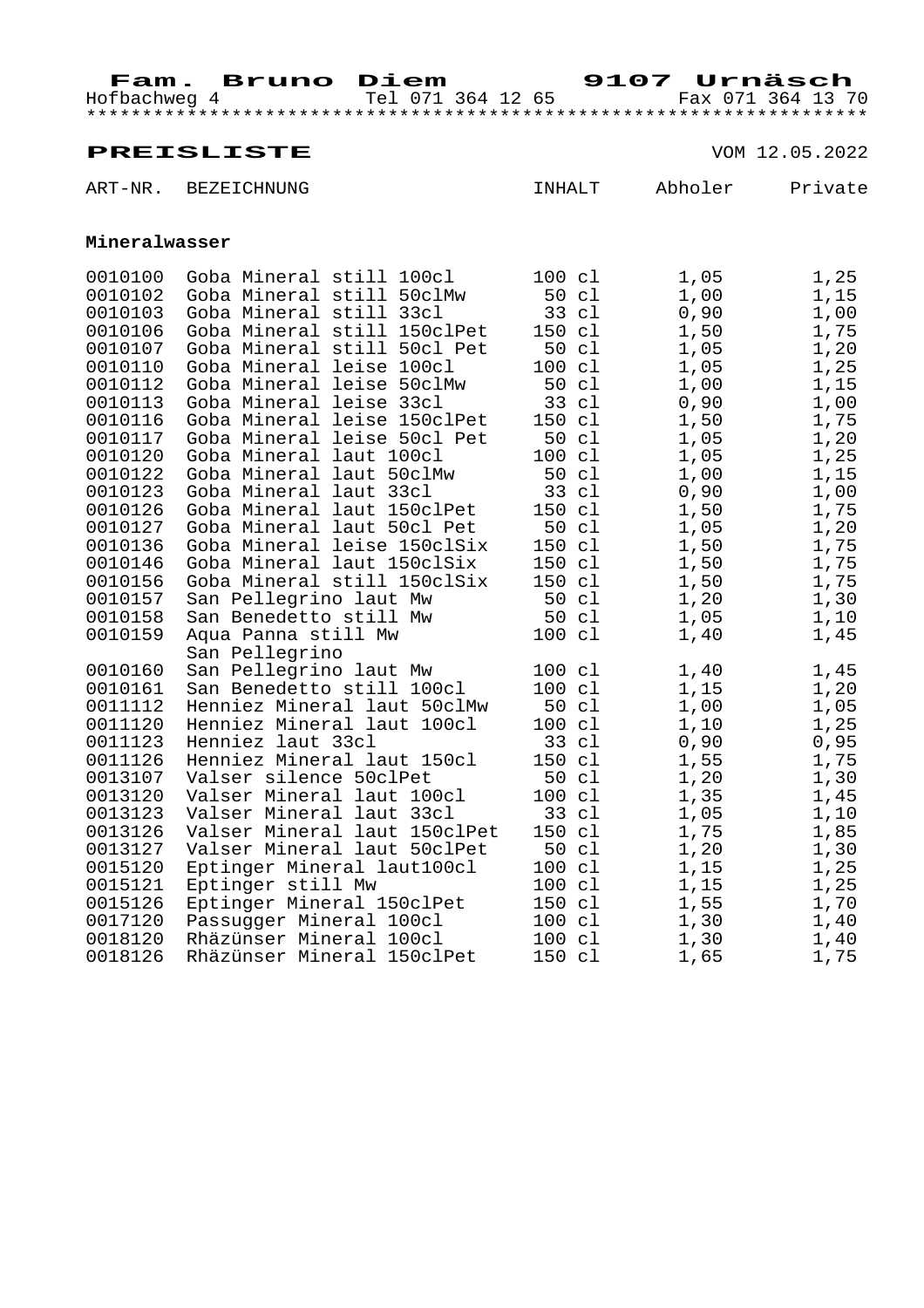Hofbachweg 4 Tel 071 364 12 65 Fax 071 364 13 70 \*\*\*\*\*\*\*\*\*\*\*\*\*\*\*\*\*\*\*\*\*\*\*\*\*\*\*\*\*\*\*\*\*\*\*\*\*\*\*\*\*\*\*\*\*\*\*\*\*\*\*\*\*\*\*\*\*\*\*\*\*\*\*\*\*\*\*\*\*\*

|                    | ART-NR. BEZEICHNUNG                                      | INHALT           | Abholer      | Private      |
|--------------------|----------------------------------------------------------|------------------|--------------|--------------|
| Mineralwasser      |                                                          |                  |              |              |
| 0010100            | Goba Mineral still 100cl                                 | $100 \text{ cl}$ | 1,05         | 1,25         |
| 0010102            | Goba Mineral still 50clMw                                | 50 cl            | 1,00         | 1,15         |
| 0010103            | Goba Mineral still 33cl                                  | 33 cl            | 0,90         | 1,00         |
| 0010106            | Goba Mineral still 150clPet                              | 150 cl           | 1,50         | 1,75         |
| 0010107            | Goba Mineral still 50cl Pet                              | 50 cl            | 1,05         | 1,20         |
| 0010110            | Goba Mineral leise 100cl                                 | 100 cl           | 1,05         | 1,25         |
| 0010112            | Goba Mineral leise 50clMw                                | 50 cl            | 1,00         | 1,15         |
| 0010113            | Goba Mineral leise 33cl                                  | 33 cl            | 0,90         | 1,00         |
| 0010116            | Goba Mineral leise 150clPet                              | 150 cl           | 1,50         | 1,75         |
| 0010117            | Goba Mineral leise 50cl Pet                              | 50 cl            | 1,05         | 1,20         |
| 0010120            | Goba Mineral laut 100cl                                  | $100 \text{ cl}$ | 1,05         | 1,25         |
| 0010122            | Goba Mineral laut 50clMw                                 | 50 cl            | 1,00         | 1,15         |
| 0010123            | Goba Mineral laut 33cl                                   | 33 cl            | 0,90         | 1,00         |
| 0010126            | Goba Mineral laut 150clPet<br>Goba Mineral laut 50cl Pet | 150 cl<br>50 cl  | 1,50         | 1,75         |
| 0010127<br>0010136 | Goba Mineral leise 150clSix                              | 150 cl           | 1,05<br>1,50 | 1,20<br>1,75 |
| 0010146            | Goba Mineral laut 150clSix                               | 150 cl           | 1,50         | 1,75         |
| 0010156            | Goba Mineral still 150clSix                              | 150 cl           | 1,50         | 1,75         |
| 0010157            | San Pellegrino laut Mw                                   |                  | 1,20         | 1,30         |
| 0010158            | San Benedetto still Mw                                   | 50 cl<br>50 cl   | 1,05         | 1,10         |
| 0010159            | Aqua Panna still Mw                                      | 100 cl           | 1,40         | 1,45         |
|                    | San Pellegrino                                           |                  |              |              |
| 0010160            | San Pellegrino laut Mw                                   | 100 cl           | 1,40         | 1,45         |
| 0010161            | San Benedetto still 100cl                                | $100 \text{ cl}$ | 1,15         | 1,20         |
| 0011112            | Henniez Mineral laut 50clMw                              | 50 cl            | 1,00         | 1,05         |
| 0011120            | Henniez Mineral laut 100cl                               | $100 \text{ cl}$ | 1,10         | 1,25         |
| 0011123            | Henniez laut 33cl                                        | 33 cl            | 0,90         | 0,95         |
| 0011126            | Henniez Mineral laut 150cl                               | 150 cl           | 1,55         | 1,75         |
| 0013107            | Valser silence 50clPet                                   | 50 cl            | 1,20         | 1,30         |
| 0013120            | Valser Mineral laut 100cl                                | $100 \text{ cl}$ | 1,35         | 1,45         |
| 0013123            | Valser Mineral laut 33cl                                 | 33 cl            | 1,05         | 1,10         |
| 0013126            | Valser Mineral laut 150clPet                             | 150 cl           | 1,75         | 1,85         |
| 0013127            | Valser Mineral laut 50clPet                              | 50 cl            | 1,20         | 1,30         |
| 0015120            | Eptinger Mineral laut100cl                               | $100 \text{ cl}$ | 1,15         | 1,25         |
| 0015121            | Eptinger still Mw                                        | $100 \text{ cl}$ | 1,15         | 1,25         |
| 0015126            | Eptinger Mineral 150clPet                                | 150 cl           | 1,55         | 1,70         |
| 0017120            | Passugger Mineral 100cl                                  | $100 \text{ cl}$ | 1,30         | 1,40         |
| 0018120            | Rhäzünser Mineral 100cl                                  | 100 cl           | 1,30         | 1,40         |
| 0018126            | Rhäzünser Mineral 150clPet                               | 150 cl           | 1,65         | 1,75         |
|                    |                                                          |                  |              |              |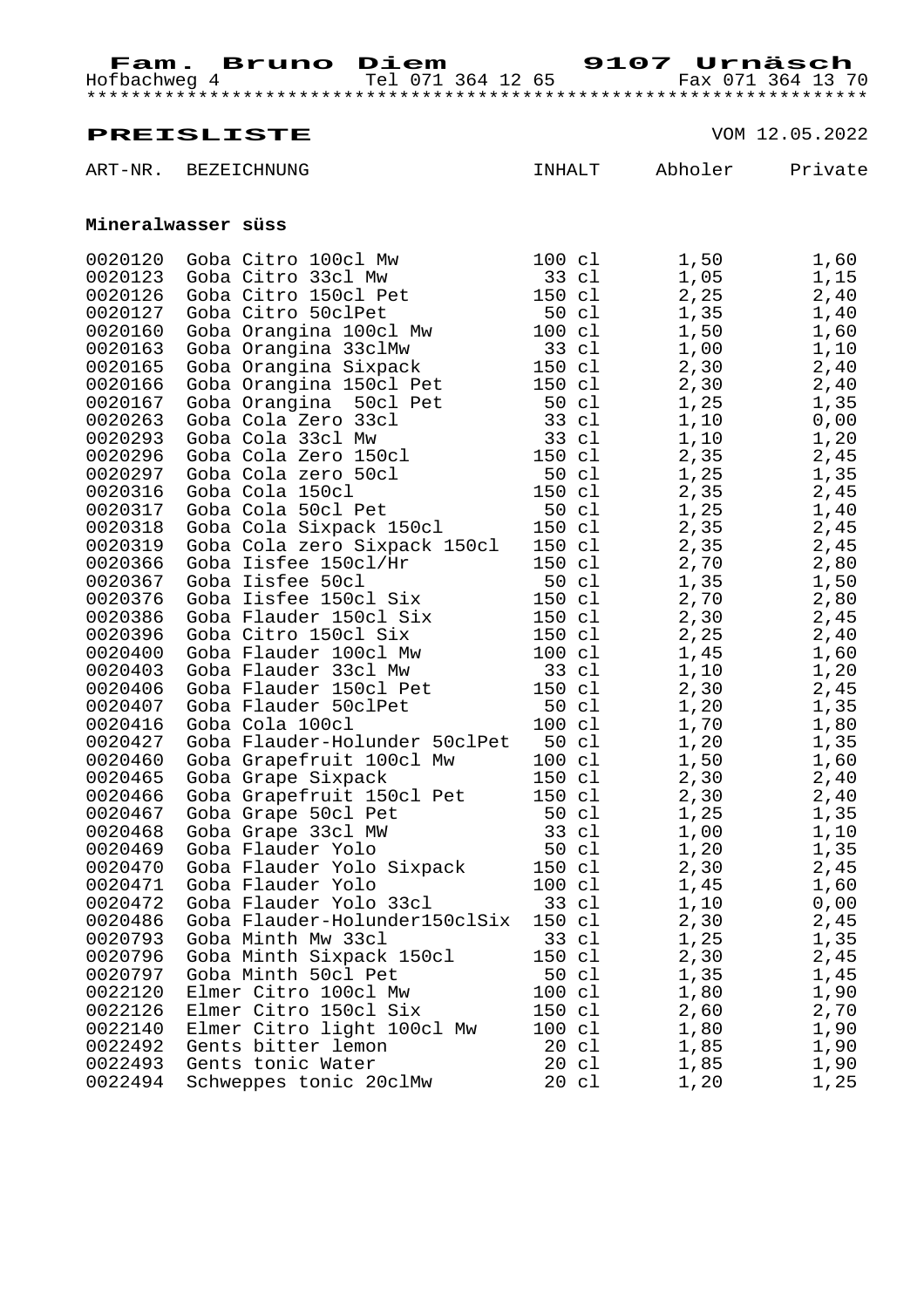ART-NR. BEZEICHNUNG **INHALT** Abholer Private

**PREISLISTE** VOM 12.05.2022

| Mineralwasser süss |                              |                 |                  |                 |      |
|--------------------|------------------------------|-----------------|------------------|-----------------|------|
| 0020120            | Goba Citro 100cl Mw          | 100 cl          |                  | 1,50            | 1,60 |
| 0020123            | Goba Citro 33cl Mw           | 33 cl           |                  | 1,05            | 1,15 |
| 0020126            | Goba Citro 150cl Pet         |                 |                  | 2, 25<br>150 cl | 2,40 |
| 0020127            | Goba Citro 50clPet           |                 | 50 cl            | 1,35            | 1,40 |
| 0020160            | Goba Orangina 100cl Mw       | 100 cl          |                  | 1,50            | 1,60 |
| 0020163            | Goba Orangina 33clMw         | 33 cl           |                  | 1,00            | 1,10 |
| 0020165            | Goba Orangina Sixpack        |                 | 150 cl           | 2,30            | 2,40 |
| 0020166            | Goba Orangina 150cl Pet      |                 | 150 cl           | 2,30            | 2,40 |
| 0020167            | Goba Orangina 50cl Pet       |                 | 50 cl            | 1,25            | 1,35 |
| 0020263            | Goba Cola Zero 33cl          |                 |                  | 33 cl<br>1,10   | 0,00 |
| 0020293            | Goba Cola 33cl Mw            | $33 \text{ cl}$ |                  | 1,10            | 1,20 |
| 0020296            | Goba Cola Zero 150cl         |                 | 150 cl           | 2, 35           | 2,45 |
| 0020297            | Goba Cola zero 50cl          |                 | 50 cl            | 1,25            | 1,35 |
| 0020316            | Goba Cola 150cl              |                 |                  | 150 cl<br>2,35  | 2,45 |
| 0020317            | Goba Cola 50cl Pet           | 50 cl           |                  | 1,25            | 1,40 |
| 0020318            | Goba Cola Sixpack 150cl      | 150 cl          |                  | 2,35            | 2,45 |
| 0020319            | Goba Cola zero Sixpack 150cl |                 | 150 cl           | 2,35            | 2,45 |
| 0020366            | Goba Iisfee 150cl/Hr         |                 |                  | 150 cl<br>2,70  | 2,80 |
| 0020367            | Goba Iisfee 50cl             | 50 cl           |                  | 1,35            | 1,50 |
| 0020376            | Goba Iisfee 150cl Six        | 150 cl          |                  | 2,70            | 2,80 |
| 0020386            | Goba Flauder 150cl Six       |                 | 150 cl           | 2,30            | 2,45 |
| 0020396            | Goba Citro 150cl Six         |                 |                  | 150 cl<br>2, 25 | 2,40 |
| 0020400            | Goba Flauder 100cl Mw        |                 | $100 \text{ cl}$ | 1,45            | 1,60 |
| 0020403            | Goba Flauder 33cl Mw         | 33 cl           |                  | 1,10            | 1,20 |
| 0020406            | Goba Flauder 150cl Pet       |                 | 150 cl           | 2,30            | 2,45 |
| 0020407            | Goba Flauder 50clPet         |                 | 50 cl            | 1,20            | 1,35 |

0020416 Goba Cola 100cl 100 cl 1,70 1,80<br>0020427 Goba Flauder-Holunder 50clPet 50 cl 1,20 1,35 0020427 Goba Flauder-Holunder 50clPet 50 cl 1,20 1,35<br>0020460 Goba Grapefruit 100cl Mw 100 cl 1,50 1,60 0020460 Goba Grapefruit 100cl Mw 100 cl 1,50 1,60<br>0020465 Goba Grape Sixpack 150 cl 2,30 2,40 0020465 Goba Grape Sixpack 150 cl 2,30 2,40 0020466 Goba Grapefruit 150cl Pet 150 cl 2,30 2,40 0020467 Goba Grape 50cl Pet 50 cl 1,25 1,35 0020468 Goba Grape 33cl MW 33 cl 1,00 1,10 0020469 Goba Flauder Yolo 50 cl 1,20 1,35 0020467 Goba Grape 50cl Pet<br>
0020468 Goba Grape 33cl MW<br>
0020468 Goba Flauder Yolo 50 cl 1,20 1,35<br>
0020469 Goba Flauder Yolo 50 cl 1,20 1,35<br>
0020470 Goba Flauder Yolo 50 cl 2,30 2,45<br>
0020471 Goba Flauder Yolo 100 cl 1,4

0020471 Goba Flauder Yolo 100 cl 1,45 1,60 0020472 Goba Flauder Yolo 33cl 33 cl 1,10 0,00

0020486 Goba Flauder-Holunder150clSix 150 cl 2,30 2,45<br>0020793 Goba Minth Mw 33cl 33 cl 1,25 1,35 0020793 Goba Minth Mw 33cl 33 cl 1,25 1,35 0020796 Goba Minth Sixpack 150cl 150 cl 2,30 2,45 0020797 Goba Minth 50cl Pet 50 cl 1,35 1,45 0022120 Elmer Citro 100cl Mw 100 cl 1,80 1,90 0022126 Elmer Citro 150cl Six 150 cl 2,60 2,70 0022140 Elmer Citro light 100cl Mw 100 cl 1,80 1,90 0022492 Gents bitter lemon 20 cl 1,85 1,90 0022493 Gents tonic Water  $20$  cl  $1,85$  1,90 0022494 Schweppes tonic 20clMw 20 cl 1,20 1,25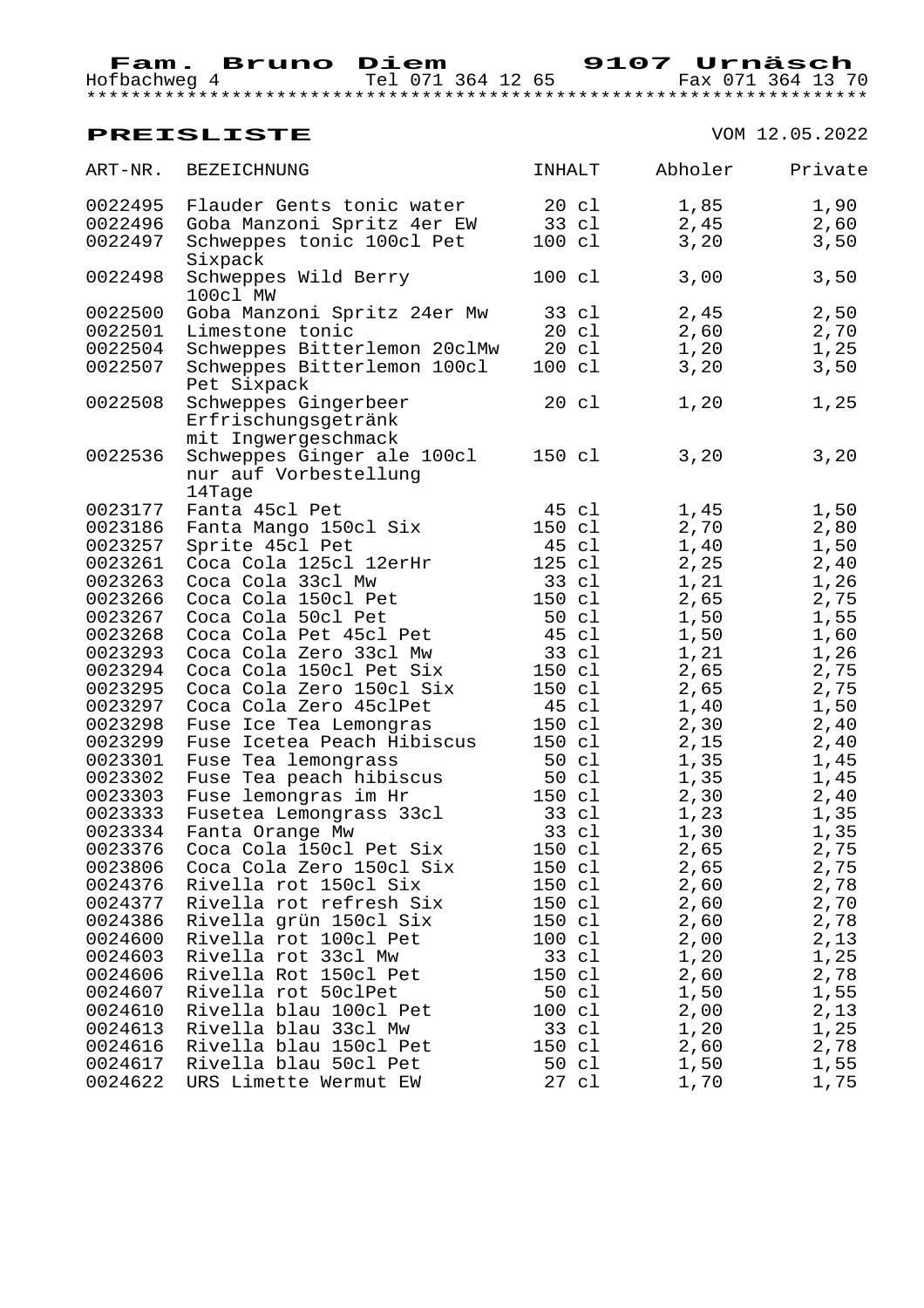Hofbachweg 4 Tel 071 364 12 65 Fax 071 364 13 70 \*\*\*\*\*\*\*\*\*\*\*\*\*\*\*\*\*\*\*\*\*\*\*\*\*\*\*\*\*\*\*\*\*\*\*\*\*\*\*\*\*\*\*\*\*\*\*\*\*\*\*\*\*\*\*\*\*\*\*\*\*\*\*\*\*\*\*\*\*\*

| ART-NR. | BEZEICHNUNG                                 | <b>INHALT</b>    | Abholer | Private |
|---------|---------------------------------------------|------------------|---------|---------|
| 0022495 | Flauder Gents tonic water 10 cl             |                  | 1,85    | 1,90    |
| 0022496 | Goba Manzoni Spritz 4er EW 33 cl            |                  | 2,45    | 2,60    |
| 0022497 | Schweppes tonic 100cl Pet<br>Sixpack        | 100 cl           | 3,20    | 3,50    |
| 0022498 | Schweppes Wild Berry<br>100cl MW            | 100 cl           | 3,00    | 3,50    |
| 0022500 | Goba Manzoni Spritz 24er Mw 33 cl           |                  | 2,45    | 2,50    |
| 0022501 | Limestone tonic                             | 20 cl            | 2,60    | 2,70    |
| 0022504 | Schweppes Bitterlemon 20clMw 20 cl          |                  | 1,20    | 1,25    |
| 0022507 | Schweppes Bitterlemon 100cl<br>Pet Sixpack  | $100 \text{ cl}$ | 3,20    | 3,50    |
| 0022508 | Schweppes Gingerbeer<br>Erfrischungsgetränk | 20 cl            | 1,20    | 1,25    |
|         | mit Ingwergeschmack                         |                  |         |         |
| 0022536 | Schweppes Ginger ale 100cl                  | 150 cl           | 3,20    | 3,20    |
|         | nur auf Vorbestellung<br>14Tage             |                  |         |         |
| 0023177 | Fanta 45cl Pet                              | 45 cl            | 1,45    | 1,50    |
| 0023186 | Fanta Mango 150cl Six                       | 150 cl           | 2,70    | 2,80    |
| 0023257 | Sprite 45cl Pet                             | 45 cl            |         | 1,50    |
| 0023261 | Coca Cola 125cl 12erHr                      | 125 cl           | 1,40    |         |
| 0023263 | Coca Cola 33cl Mw                           |                  | 2,25    | 2,40    |
|         |                                             | 33 cl            | 1,21    | 1,26    |
| 0023266 | Coca Cola 150cl Pet                         | 150 cl           | 2,65    | 2,75    |
| 0023267 | Coca Cola 50cl Pet                          | 50 cl            | 1,50    | 1,55    |
| 0023268 | Coca Cola Pet 45cl Pet                      | 45 cl            | 1,50    | 1,60    |
| 0023293 | Coca Cola Zero 33cl Mw                      | 33 cl            | 1,21    | 1,26    |
| 0023294 | Coca Cola 150cl Pet Six                     | 150 cl           | 2,65    | 2,75    |
| 0023295 | Coca Cola Zero 150cl Six                    | 150 cl           | 2,65    | 2,75    |
| 0023297 | Coca Cola Zero 45clPet                      | 45 cl            | 1,40    | 1,50    |
| 0023298 | Fuse Ice Tea Lemongras                      | 150 cl           | 2,30    | 2,40    |
| 0023299 | Fuse Icetea Peach Hibiscus                  | 150 cl           | 2,15    | 2,40    |
| 0023301 | Fuse Tea lemongrass                         | 50 cl            | 1,35    | 1,45    |
| 0023302 | Fuse Tea peach hibiscus                     | 50 cl            | 1,35    | 1,45    |
| 0023303 | Fuse lemongras im Hr                        | 150 cl           | 2,30    | 2,40    |
| 0023333 | Fusetea Lemongrass 33cl                     | 33 cl            | 1,23    | 1,35    |
| 0023334 | Fanta Orange Mw                             | 33 cl            | 1,30    | 1,35    |
| 0023376 | Coca Cola 150cl Pet Six                     | 150 cl           | 2,65    | 2,75    |
| 0023806 | Coca Cola Zero 150cl Six                    | 150 cl           | 2,65    | 2,75    |
| 0024376 | Rivella rot 150cl Six                       | 150 cl           | 2,60    | 2,78    |
| 0024377 | Rivella rot refresh Six                     | 150 cl           | 2,60    | 2,70    |
| 0024386 | Rivella grün 150cl Six                      | 150 cl           | 2,60    | 2,78    |
| 0024600 | Rivella rot 100cl Pet                       | 100 cl           | 2,00    | 2,13    |
| 0024603 | Rivella rot 33cl Mw                         | 33 cl            | 1,20    | 1,25    |
| 0024606 | Rivella Rot 150cl Pet                       | 150 cl           | 2,60    | 2,78    |
| 0024607 | Rivella rot 50clPet                         | 50 cl            | 1,50    | 1,55    |
| 0024610 | Rivella blau 100cl Pet                      | 100 cl           | 2,00    | 2,13    |
| 0024613 | Rivella blau 33cl Mw                        | 33 cl            | 1,20    | 1,25    |
| 0024616 | Rivella blau 150cl Pet                      | 150 cl           | 2,60    | 2,78    |
| 0024617 | Rivella blau 50cl Pet                       | 50 cl            | 1,50    | 1,55    |
| 0024622 | URS Limette Wermut EW                       | 27 cl            | 1,70    | 1,75    |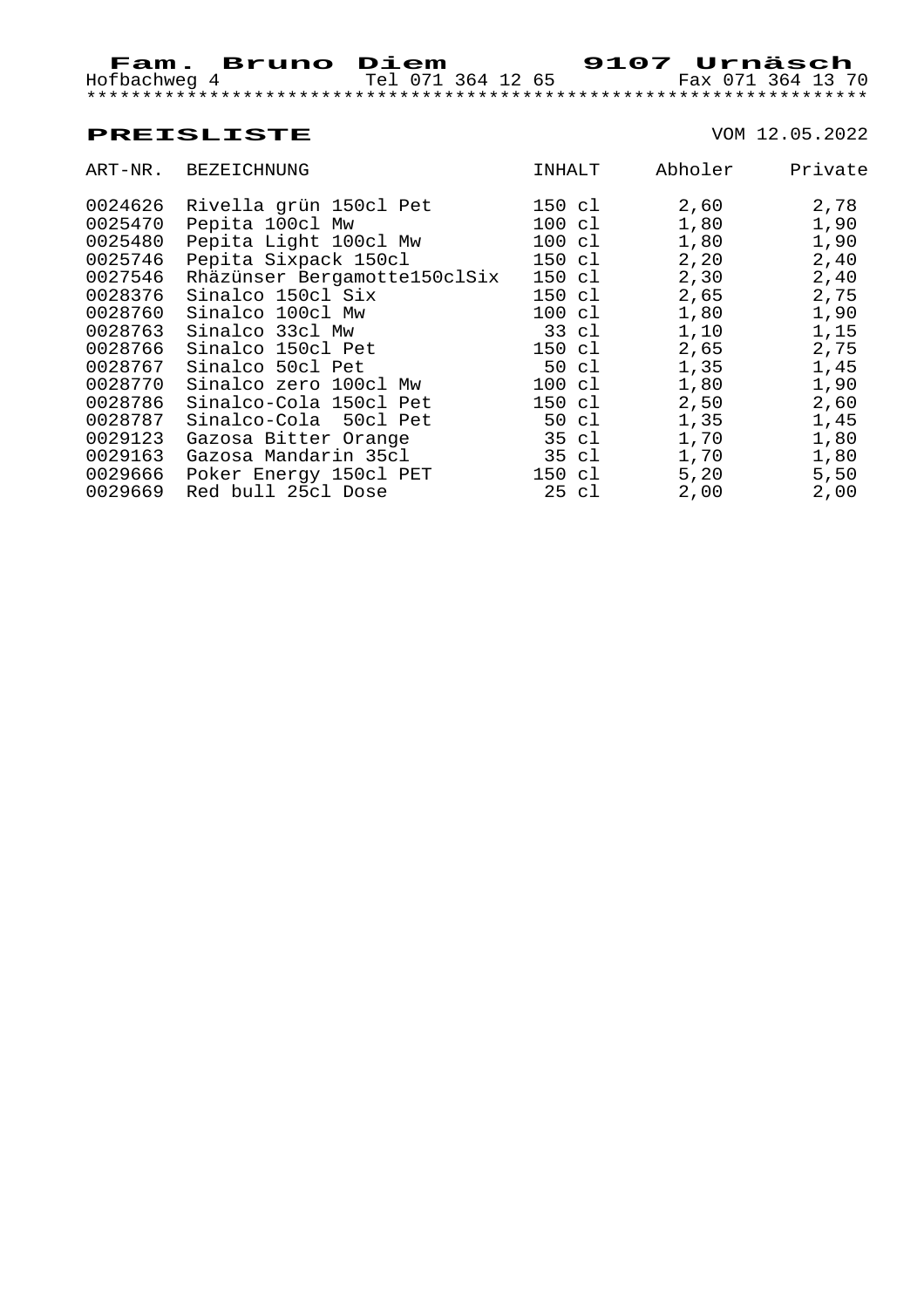| ART-NR. | BEZEICHNUNG                  | INHALT           | Abholer | Private |
|---------|------------------------------|------------------|---------|---------|
| 0024626 | Rivella grün 150cl Pet       | 150 cl           | 2,60    | 2,78    |
| 0025470 | Pepita 100cl Mw              | 100 cl           | 1,80    | 1,90    |
| 0025480 | Pepita Light 100cl Mw        | $100 \text{ cl}$ | 1,80    | 1,90    |
| 0025746 | Pepita Sixpack 150cl         | 150 cl           | 2,20    | 2,40    |
| 0027546 | Rhäzünser Bergamotte150clSix | 150 cl           | 2,30    | 2,40    |
| 0028376 | Sinalco 150cl Six            | 150 cl           | 2,65    | 2,75    |
| 0028760 | Sinalco 100cl Mw             | 100 cl           | 1,80    | 1,90    |
| 0028763 | Sinalco 33cl Mw              | 33 cl            | 1,10    | 1,15    |
| 0028766 | Sinalco 150cl Pet            | 150 cl           | 2,65    | 2,75    |
| 0028767 | Sinalco 50cl Pet             | 50 cl            | 1,35    | 1,45    |
| 0028770 | Sinalco zero 100cl Mw        | $100 \text{ cl}$ | 1,80    | 1,90    |
| 0028786 | Sinalco-Cola 150cl Pet       | 150 cl           | 2,50    | 2,60    |
| 0028787 | Sinalco-Cola 50cl Pet        | 50 cl            | 1,35    | 1,45    |
| 0029123 | Gazosa Bitter Orange         | 35 cl            | 1,70    | 1,80    |
| 0029163 | Gazosa Mandarin 35cl         | 35 cl            | 1,70    | 1,80    |
| 0029666 | Poker Energy 150cl PET       | 150 cl           | 5,20    | 5,50    |
| 0029669 | Red bull 25cl Dose           | 25 cl            | 2,00    | 2,00    |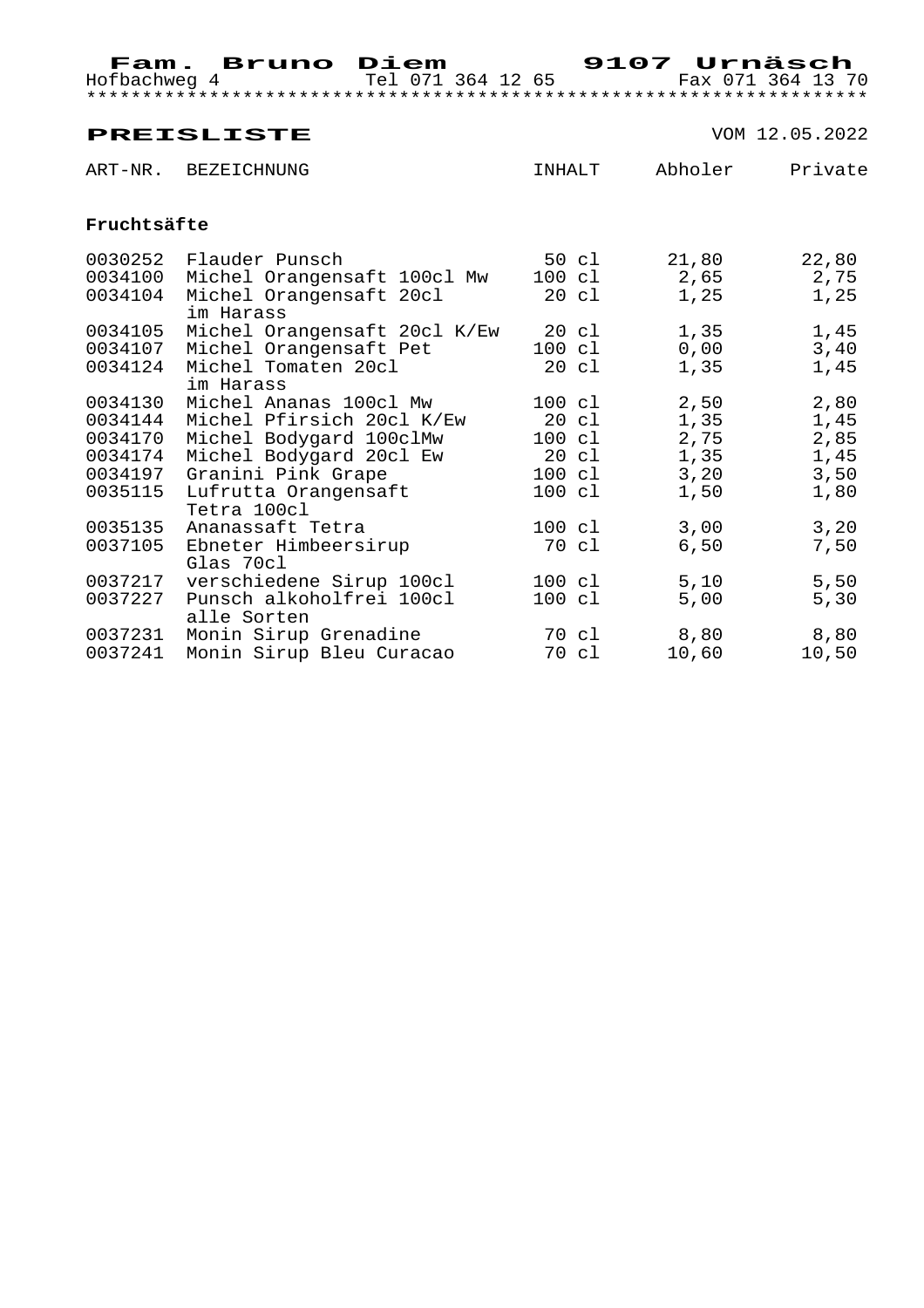|                               | <b>PREISLISTE</b>                                                                                |                                     |                       | VOM 12.05.2022        |
|-------------------------------|--------------------------------------------------------------------------------------------------|-------------------------------------|-----------------------|-----------------------|
|                               | ART-NR. BEZEICHNUNG                                                                              | INHALT                              | Abholer               | Private               |
| Fruchtsäfte                   |                                                                                                  |                                     |                       |                       |
| 0030252<br>0034100<br>0034104 | Flauder Punsch<br>Michel Orangensaft 100cl Mw<br>Michel Orangensaft 20cl<br>im Harass            | 50 cl<br>100 cl<br>20 cl            | 21,80<br>2,65<br>1,25 | 22,80<br>2,75<br>1,25 |
| 0034105<br>0034107<br>0034124 | Michel Orangensaft 20cl K/Ew 20 cl<br>Michel Orangensaft Pet<br>Michel Tomaten 20cl<br>im Harass | 100 cl<br>20 cl                     | 1,35<br>0,00<br>1,35  | 1,45<br>3,40<br>1,45  |
| 0034130<br>0034144<br>0034170 | Michel Ananas 100cl Mw<br>Michel Pfirsich 20cl K/Ew<br>Michel Bodygard 100clMw                   | 100 cl<br>20 cl<br>100 cl           | 2,50<br>1,35<br>2,75  | 2,80<br>1,45<br>2,85  |
| 0034174<br>0035115            | Michel Bodygard 20cl Ew<br>0034197 Granini Pink Grape<br>Lufrutta Orangensaft                    | $20 \text{ cl}$<br>100 cl<br>100 cl | 1,35<br>3,20<br>1,50  | 1,45<br>3,50<br>1,80  |
| 0035135<br>0037105            | Tetra 100cl<br>Ananassaft Tetra<br>Ebneter Himbeersirup                                          | 100 cl<br>70 cl                     | 3,00<br>6,50          | 3,20<br>7,50          |
| 0037217<br>0037227            | Glas 70cl<br>verschiedene Sirup 100cl<br>Punsch alkoholfrei 100cl<br>alle Sorten                 | 100 cl<br>$100 \text{ cl}$          | 5,10<br>5,00          | 5,50<br>5,30          |
| 0037231<br>0037241            | Monin Sirup Grenadine<br>Monin Sirup Bleu Curacao                                                | 70 cl<br>70 cl                      | 8,80<br>10,60         | 8,80<br>10,50         |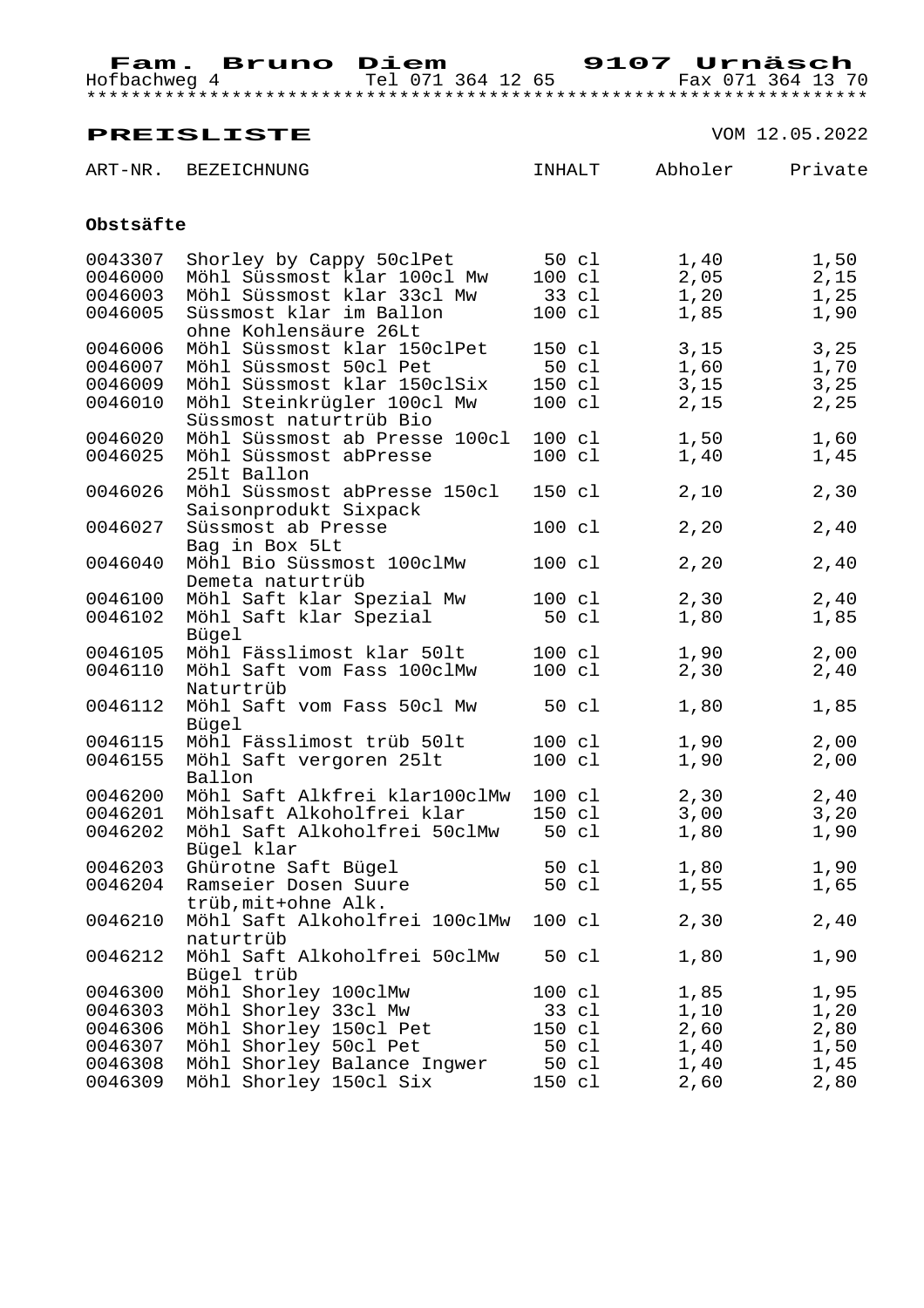ART-NR. BEZEICHNUNG **INHALT** Abholer Private

| Obstsäfte |                                                       |                  |       |      |
|-----------|-------------------------------------------------------|------------------|-------|------|
| 0043307   | Shorley by Cappy 50clPet                              | $50 \text{ cl}$  | 1,40  | 1,50 |
| 0046000   | Möhl Süssmost klar 100cl Mw                           | $100 \text{ cl}$ | 2,05  | 2,15 |
| 0046003   | Möhl Süssmost klar 33cl Mw 33 cl                      |                  | 1,20  | 1,25 |
| 0046005   | Süssmost klar im Ballon<br>ohne Kohlensäure 26Lt      | $100 \text{ cl}$ | 1,85  | 1,90 |
| 0046006   | Möhl Süssmost klar 150clPet                           | 150 cl           | 3,15  | 3,25 |
| 0046007   | Möhl Süssmost 50cl Pet                                | 50 cl            | 1,60  | 1,70 |
| 0046009   | Möhl Süssmost klar 150clSix                           | 150 cl           | 3,15  | 3,25 |
| 0046010   | Möhl Steinkrügler 100cl Mw<br>Süssmost naturtrüb Bio  | $100 \text{ cl}$ | 2,15  | 2,25 |
| 0046020   | Möhl Süssmost ab Presse 100cl 100 cl                  |                  | 1,50  | 1,60 |
| 0046025   | Möhl Süssmost abPresse<br>251t Ballon                 | $100 \text{ cl}$ | 1,40  | 1,45 |
| 0046026   | Möhl Süssmost abPresse 150cl<br>Saisonprodukt Sixpack | 150 cl           | 2,10  | 2,30 |
| 0046027   | Süssmost ab Presse<br>Bag in Box 5Lt                  | 100 cl           | 2, 20 | 2,40 |
| 0046040   | Möhl Bio Süssmost 100clMw<br>Demeta naturtrüb         | 100 cl           | 2,20  | 2,40 |
| 0046100   | Möhl Saft klar Spezial Mw                             | $100 \text{ cl}$ | 2,30  | 2,40 |
| 0046102   | Möhl Saft klar Spezial<br>Bügel                       | 50 cl            | 1,80  | 1,85 |
| 0046105   | Möhl Fässlimost klar 501t                             | $100 \text{ cl}$ | 1,90  | 2,00 |
| 0046110   | Möhl Saft vom Fass 100clMw<br>Naturtrüb               | $100 \text{ cl}$ | 2,30  | 2,40 |
| 0046112   | Möhl Saft vom Fass 50cl Mw<br>Bügel                   | 50 cl            | 1,80  | 1,85 |
| 0046115   | Möhl Fässlimost trüb 50lt                             | 100 cl           | 1,90  | 2,00 |
| 0046155   | Möhl Saft vergoren 251t<br>Ballon                     | $100 \text{ cl}$ | 1,90  | 2,00 |
| 0046200   | Möhl Saft Alkfrei klar100clMw                         | $100 \text{ cl}$ | 2,30  | 2,40 |
| 0046201   | Möhlsaft Alkoholfrei klar                             | 150 cl           | 3,00  | 3,20 |
| 0046202   | Möhl Saft Alkoholfrei 50clMw<br>Bügel klar            | 50 cl            | 1,80  | 1,90 |
| 0046203   | Ghürotne Saft Bügel                                   | 50 cl            | 1,80  | 1,90 |
| 0046204   | Ramseier Dosen Suure<br>trüb, mit+ohne Alk.           | 50 cl            | 1,55  | 1,65 |
| 0046210   | Möhl Saft Alkoholfrei 100clMw 100 cl<br>naturtrüb     |                  | 2, 30 | 2,40 |
| 0046212   | Möhl Saft Alkoholfrei 50clMw<br>Bügel trüb            | 50 cl            | 1,80  | 1,90 |
| 0046300   | Möhl Shorley 100clMw                                  | 100 cl           | 1,85  | 1,95 |
| 0046303   | Möhl Shorley 33cl Mw                                  | 33 cl            | 1,10  | 1,20 |
| 0046306   | Möhl Shorley 150cl Pet                                | 150 cl           | 2,60  | 2,80 |
| 0046307   | Möhl Shorley 50cl Pet                                 | 50 cl            | 1,40  | 1,50 |
| 0046308   | Möhl Shorley Balance Ingwer                           | 50 cl            | 1,40  | 1,45 |
| 0046309   | Möhl Shorley 150cl Six                                | 150 cl           | 2,60  | 2,80 |
|           |                                                       |                  |       |      |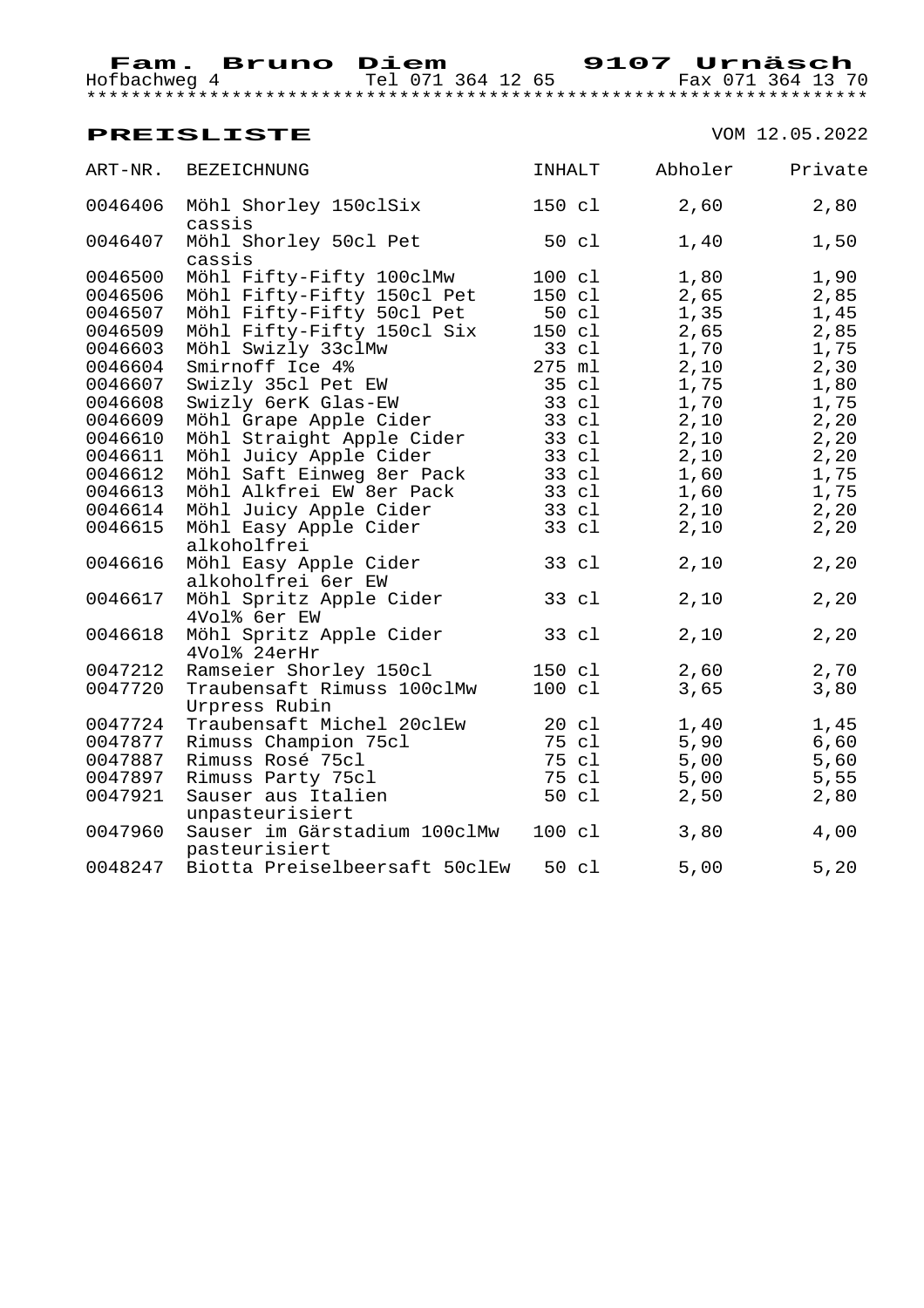\*\*\*\*\*\*\*\*\*\*\*\*\*\*\*\*\*\*\*\*\*\*\*\*\*\*\*\*\*\*\*\*\*\*\*\*\*\*\*\*\*\*\*\*\*\*\*\*\*\*\*\*\*\*\*\*\*\*\*\*\*\*\*\*\*\*\*\*\*\*

 **Fam. Bruno Diem 9107 Urnäsch**  Hofbachweg 4 Tel 071 364 12 65 Fax 071 364 13 70

| ART-NR. | BEZEICHNUNG                                   | <b>INHALT</b> |                  | Abholer | Private |
|---------|-----------------------------------------------|---------------|------------------|---------|---------|
| 0046406 | Möhl Shorley 150clSix<br>cassis               | 150 cl        |                  | 2,60    | 2,80    |
| 0046407 | Möhl Shorley 50cl Pet<br>cassis               |               | 50 cl            | 1,40    | 1,50    |
| 0046500 | Möhl Fifty-Fifty 100clMw                      | 100 cl        |                  | 1,80    | 1,90    |
| 0046506 | Möhl Fifty-Fifty 150cl Pet                    |               | 150 cl           | 2,65    | 2,85    |
| 0046507 |                                               |               |                  | 1,35    | 1,45    |
| 0046509 |                                               |               |                  | 2,65    | 2,85    |
| 0046603 |                                               |               |                  | 1,70    | 1,75    |
| 0046604 | Smirnoff Ice 4%                               |               | 275 ml           | 2,10    | 2,30    |
| 0046607 | Swizly 35cl Pet EW                            |               | 35 cl            | 1,75    | 1,80    |
| 0046608 | Swizly 6erK Glas-EW                           |               | 33 cl            | 1,70    | 1,75    |
| 0046609 | Möhl Grape Apple Cider                        |               | 33 cl            | 2,10    | 2,20    |
| 0046610 | Möhl Straight Apple Cider                     |               | 33 cl            | 2,10    | 2, 20   |
| 0046611 | Möhl Juicy Apple Cider                        |               | 33 cl            | 2,10    | 2, 20   |
| 0046612 | Möhl Saft Einweg 8er Pack                     |               | 33 cl            | 1,60    | 1,75    |
| 0046613 | Möhl Alkfrei EW 8er Pack                      |               | 33 cl            | 1,60    | 1,75    |
| 0046614 | Möhl Juicy Apple Cider                        |               | 33 cl            | 2,10    | 2,20    |
| 0046615 | Möhl Easy Apple Cider<br>alkoholfrei          |               | 33 cl            | 2,10    | 2,20    |
| 0046616 | Möhl Easy Apple Cider<br>alkoholfrei 6er EW   |               | 33 cl            | 2,10    | 2, 20   |
| 0046617 | Möhl Spritz Apple Cider<br>4Vol% 6er EW       |               | 33 cl            | 2,10    | 2, 20   |
| 0046618 | Möhl Spritz Apple Cider<br>4Vol% 24erHr       |               | 33 cl            | 2,10    | 2,20    |
| 0047212 | Ramseier Shorley 150cl                        |               | 150 cl           | 2,60    | 2,70    |
| 0047720 | Traubensaft Rimuss 100clMw<br>Urpress Rubin   |               | 100 cl           | 3,65    | 3,80    |
| 0047724 | Traubensaft Michel 20clEw                     |               | 20 cl            | 1,40    | 1,45    |
| 0047877 | Rimuss Champion 75cl                          |               | 75 cl            | 5,90    | 6,60    |
| 0047887 | Rimuss Rosé 75cl                              |               | 75 cl            | 5,00    | 5,60    |
| 0047897 | Rimuss Party 75cl                             |               | 75 cl            | 5,00    | 5,55    |
| 0047921 | Sauser aus Italien                            |               | 50 cl            | 2,50    | 2,80    |
|         | unpasteurisiert                               |               |                  |         |         |
| 0047960 | Sauser im Gärstadium 100clMw<br>pasteurisiert |               | $100 \text{ cl}$ | 3,80    | 4,00    |
| 0048247 | Biotta Preiselbeersaft 50clEw 50 cl           |               |                  | 5,00    | 5,20    |
|         |                                               |               |                  |         |         |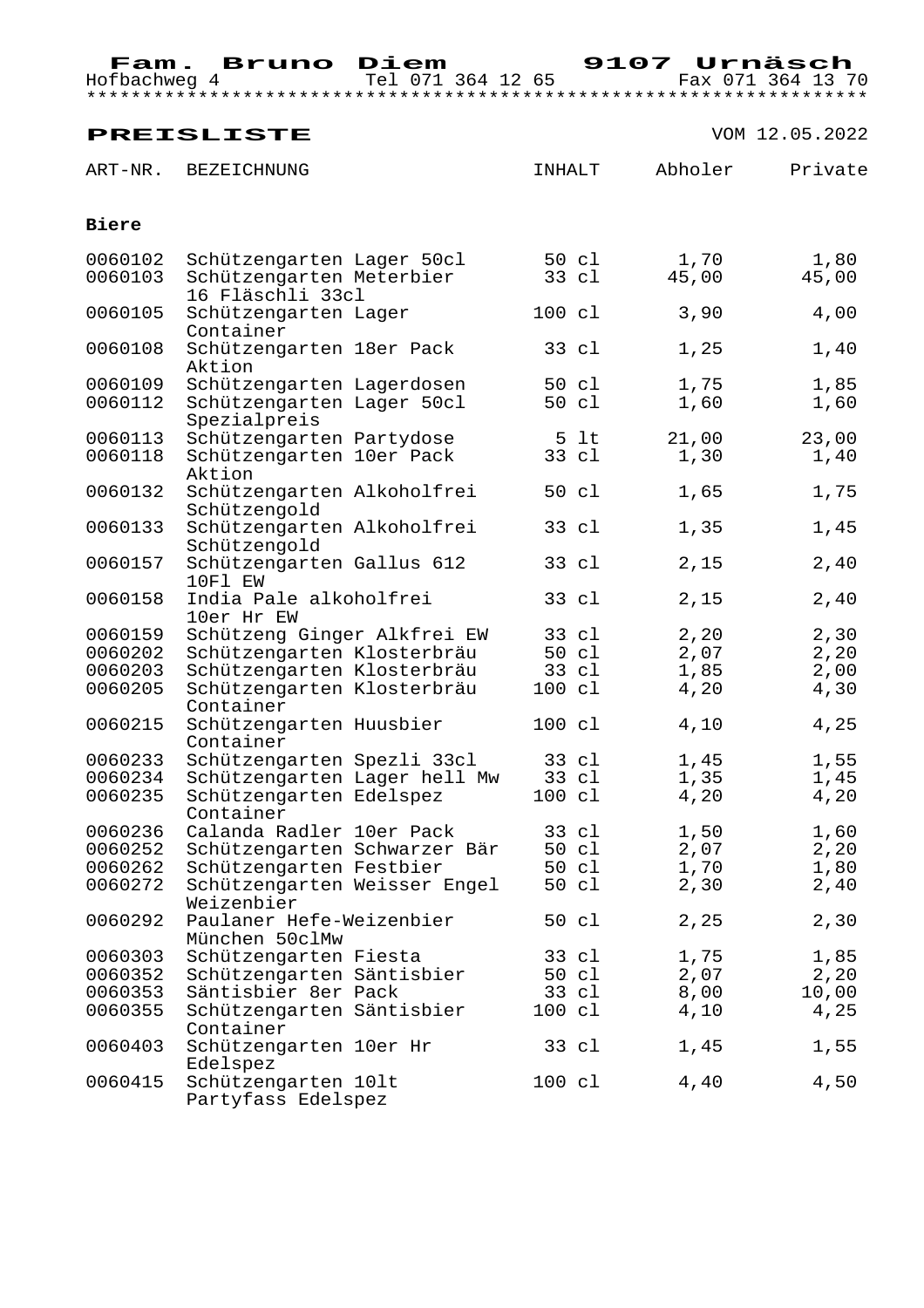|                    | <b>PREISLISTE</b>                                                         |                  |               | VOM 12.05.2022 |
|--------------------|---------------------------------------------------------------------------|------------------|---------------|----------------|
| ART-NR.            | <b>BEZEICHNUNG</b>                                                        | INHALT           | Abholer       | Private        |
| Biere              |                                                                           |                  |               |                |
| 0060102<br>0060103 | Schützengarten Lager 50cl<br>Schützengarten Meterbier<br>16 Fläschli 33cl | 50 cl<br>33 cl   | 1,70<br>45,00 | 1,80<br>45,00  |
| 0060105            | Schützengarten Lager<br>Container                                         | 100 cl           | 3,90          | 4,00           |
| 0060108            | Schützengarten 18er Pack<br>Aktion                                        | 33 cl            | 1,25          | 1,40           |
| 0060109            | Schützengarten Lagerdosen                                                 | 50 cl            | 1,75          | 1,85           |
| 0060112            | Schützengarten Lager 50cl<br>Spezialpreis                                 | 50 cl            | 1,60          | 1,60           |
| 0060113            | Schützengarten Partydose                                                  | 5 lt             | 21,00         | 23,00          |
| 0060118            | Schützengarten 10er Pack<br>Aktion                                        | 33 cl            | 1,30          | 1,40           |
| 0060132            | Schützengarten Alkoholfrei<br>Schützengold                                | 50 cl            | 1,65          | 1,75           |
| 0060133            | Schützengarten Alkoholfrei<br>Schützengold                                | 33 cl            | 1,35          | 1,45           |
| 0060157            | Schützengarten Gallus 612<br>10F1 EW                                      | 33 cl            | 2,15          | 2,40           |
| 0060158            | India Pale alkoholfrei<br>10er Hr EW                                      | 33 cl            | 2,15          | 2,40           |
| 0060159            | Schützeng Ginger Alkfrei EW                                               | 33 cl            | 2,20          | 2,30           |
| 0060202            | Schützengarten Klosterbräu                                                | 50 cl            | 2,07          | 2,20           |
| 0060203            | Schützengarten Klosterbräu                                                | 33 cl            | 1,85          | 2,00           |
| 0060205            | Schützengarten Klosterbräu<br>Container                                   | 100 cl           | 4,20          | 4,30           |
| 0060215            | Schützengarten Huusbier<br>Container                                      | 100 cl           | 4,10          | 4,25           |
| 0060233            | Schützengarten Spezli 33cl                                                | 33 cl            | 1,45          | 1,55           |
| 0060234            | Schützengarten Lager hell Mw                                              | 33 cl            | 1,35          | 1,45           |
| 0060235            | Schützengarten Edelspez<br>Container                                      | 100 cl           | 4,20          | 4,20           |
| 0060236            | Calanda Radler 10er Pack                                                  | 33 cl            | 1,50          | 1,60           |
| 0060252            | Schützengarten Schwarzer Bär                                              | 50 cl            | 2,07          | 2,20           |
| 0060262            | Schützengarten Festbier                                                   | 50 cl            | 1,70          | 1,80           |
| 0060272            | Schützengarten Weisser Engel<br>Weizenbier                                | 50 cl            | 2,30          | 2,40           |
| 0060292            | Paulaner Hefe-Weizenbier<br>München 50clMw                                | 50 cl            | 2,25          | 2,30           |
| 0060303            | Schützengarten Fiesta                                                     | 33 cl            | 1,75          | 1,85           |
| 0060352            | Schützengarten Säntisbier                                                 | 50 cl            | 2,07          | 2,20           |
| 0060353            | Säntisbier 8er Pack                                                       | 33 cl            | 8,00          | 10,00          |
| 0060355            | Schützengarten Säntisbier<br>Container                                    | $100 \text{ cl}$ | 4,10          | 4,25           |
| 0060403            | Schützengarten 10er Hr<br>Edelspez                                        | 33 cl            | 1,45          | 1,55           |
| 0060415            | Schützengarten 101t<br>Partyfass Edelspez                                 | 100 cl           | 4,40          | 4,50           |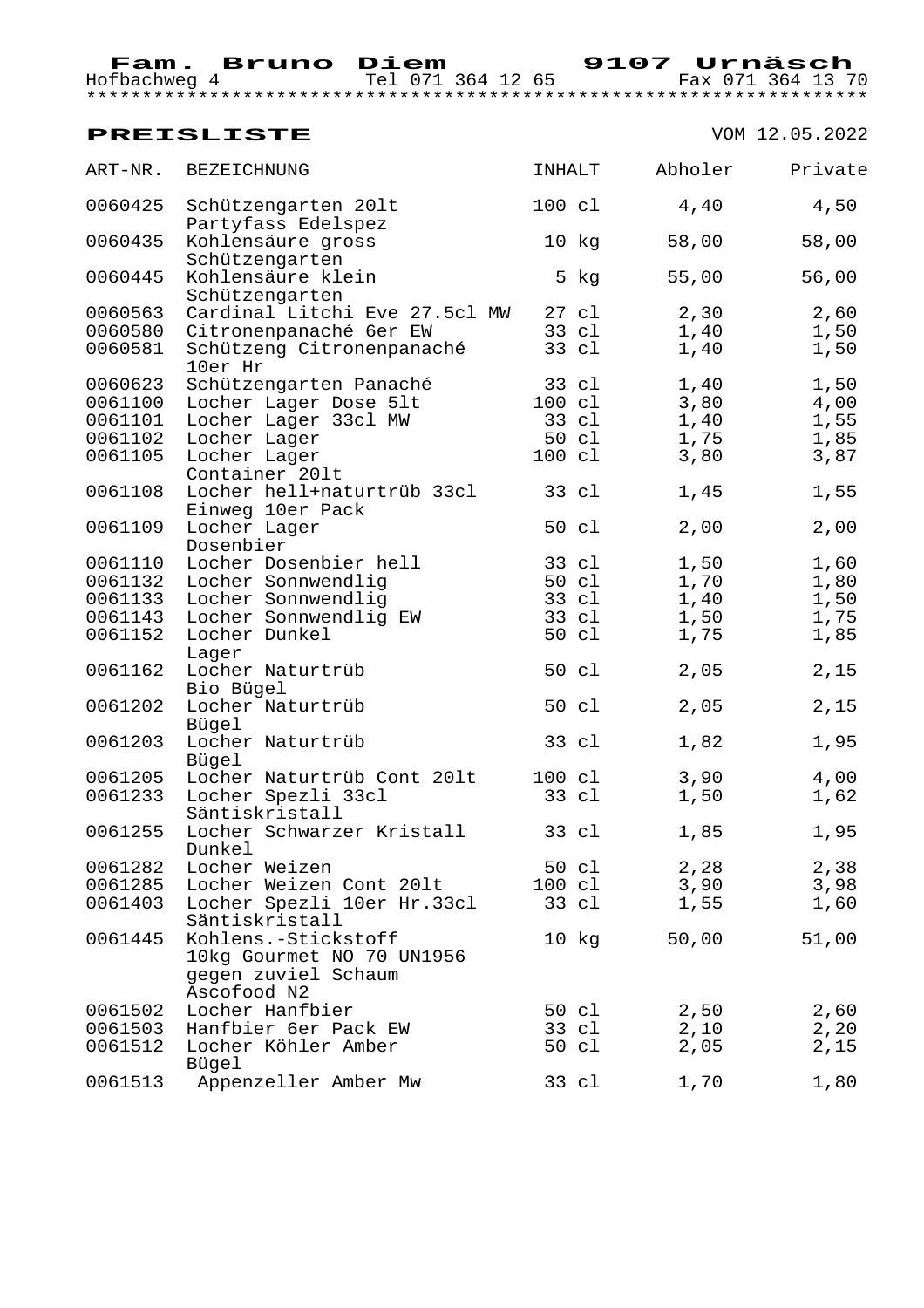| ART-NR. | BEZEICHNUNG                                    | INHALT |                  | Abholer | Private |
|---------|------------------------------------------------|--------|------------------|---------|---------|
| 0060425 | Schützengarten 201t<br>Partyfass Edelspez      | 100 cl |                  | 4,40    | 4,50    |
| 0060435 | Kohlensäure gross<br>Schützengarten            |        | 10 kg            | 58,00   | 58,00   |
| 0060445 | Kohlensäure klein<br>Schützengarten            |        | 5 kg             | 55,00   | 56,00   |
| 0060563 | Cardinal Litchi Eve 27.5cl MW 27 cl            |        |                  | 2, 30   | 2,60    |
| 0060580 | Citronenpanaché 6er EW                         |        | 33 cl            | 1,40    | 1,50    |
| 0060581 | Schützeng Citronenpanaché<br>10er Hr           |        | 33 cl            | 1,40    | 1,50    |
| 0060623 | Schützengarten Panaché                         |        | 33 cl            | 1,40    | 1,50    |
| 0061100 | Locher Lager Dose 51t                          |        | 100 cl           | 3,80    | 4,00    |
| 0061101 | Locher Lager 33cl MW                           |        | 33 cl            | 1,40    | 1,55    |
| 0061102 | Locher Lager                                   |        | 50 cl            | 1,75    | 1,85    |
| 0061105 | Locher Lager                                   |        | 100 cl           | 3,80    | 3,87    |
|         | Container 201t                                 |        |                  |         |         |
| 0061108 | Locher hell+naturtrüb 33cl<br>Einweg 10er Pack |        | 33 cl            | 1,45    | 1,55    |
| 0061109 | Locher Lager                                   |        | 50 cl            | 2,00    | 2,00    |
|         | Dosenbier                                      |        |                  |         |         |
| 0061110 | Locher Dosenbier hell                          |        | 33 cl            | 1,50    | 1,60    |
| 0061132 | Locher Sonnwendlig                             |        | 50 cl            | 1,70    | 1,80    |
| 0061133 | Locher Sonnwendlig                             |        | 33 cl            | 1,40    | 1,50    |
| 0061143 | Locher Sonnwendlig EW                          |        | 33 cl            | 1,50    | 1,75    |
| 0061152 | Locher Dunkel                                  |        | 50 cl            | 1,75    | 1,85    |
| 0061162 | Lager<br>Locher Naturtrüb                      |        | 50 cl            | 2,05    | 2,15    |
|         | Bio Bügel                                      |        |                  |         |         |
| 0061202 | Locher Naturtrüb                               |        | 50 cl            | 2,05    | 2,15    |
|         | Bügel                                          |        |                  |         |         |
| 0061203 | Locher Naturtrüb                               | 33 cl  |                  | 1,82    | 1,95    |
|         | Bügel                                          |        |                  |         |         |
| 0061205 | Locher Naturtrüb Cont 201t                     |        | 100 cl           | 3,90    | 4,00    |
| 0061233 | Locher Spezli 33cl                             |        | 33 cl            | 1,50    | 1,62    |
|         | Säntiskristall                                 |        |                  |         |         |
| 0061255 | Locher Schwarzer Kristall                      | 33 cl  |                  | 1,85    | 1,95    |
|         | Dunkel                                         |        |                  |         |         |
| 0061282 | Locher Weizen                                  |        | 50 cl            | 2,28    | 2,38    |
| 0061285 | Locher Weizen Cont 201t                        |        | $100 \text{ cl}$ | 3,90    | 3,98    |
| 0061403 | Locher Spezli 10er Hr.33cl<br>Säntiskristall   |        | 33 cl            | 1,55    | 1,60    |
| 0061445 | Kohlens.-Stickstoff                            |        | 10 kg            | 50,00   | 51,00   |
|         | 10kg Gourmet NO 70 UN1956                      |        |                  |         |         |
|         | gegen zuviel Schaum                            |        |                  |         |         |
|         | Ascofood N2                                    |        |                  |         |         |
| 0061502 | Locher Hanfbier                                |        | 50 cl            | 2,50    | 2,60    |
| 0061503 | Hanfbier 6er Pack EW                           |        | 33 cl            | 2,10    | 2,20    |
| 0061512 | Locher Köhler Amber                            |        | 50 cl            | 2,05    | 2,15    |
|         | Bügel                                          |        |                  |         |         |
| 0061513 | Appenzeller Amber Mw                           |        | 33 cl            | 1,70    | 1,80    |
|         |                                                |        |                  |         |         |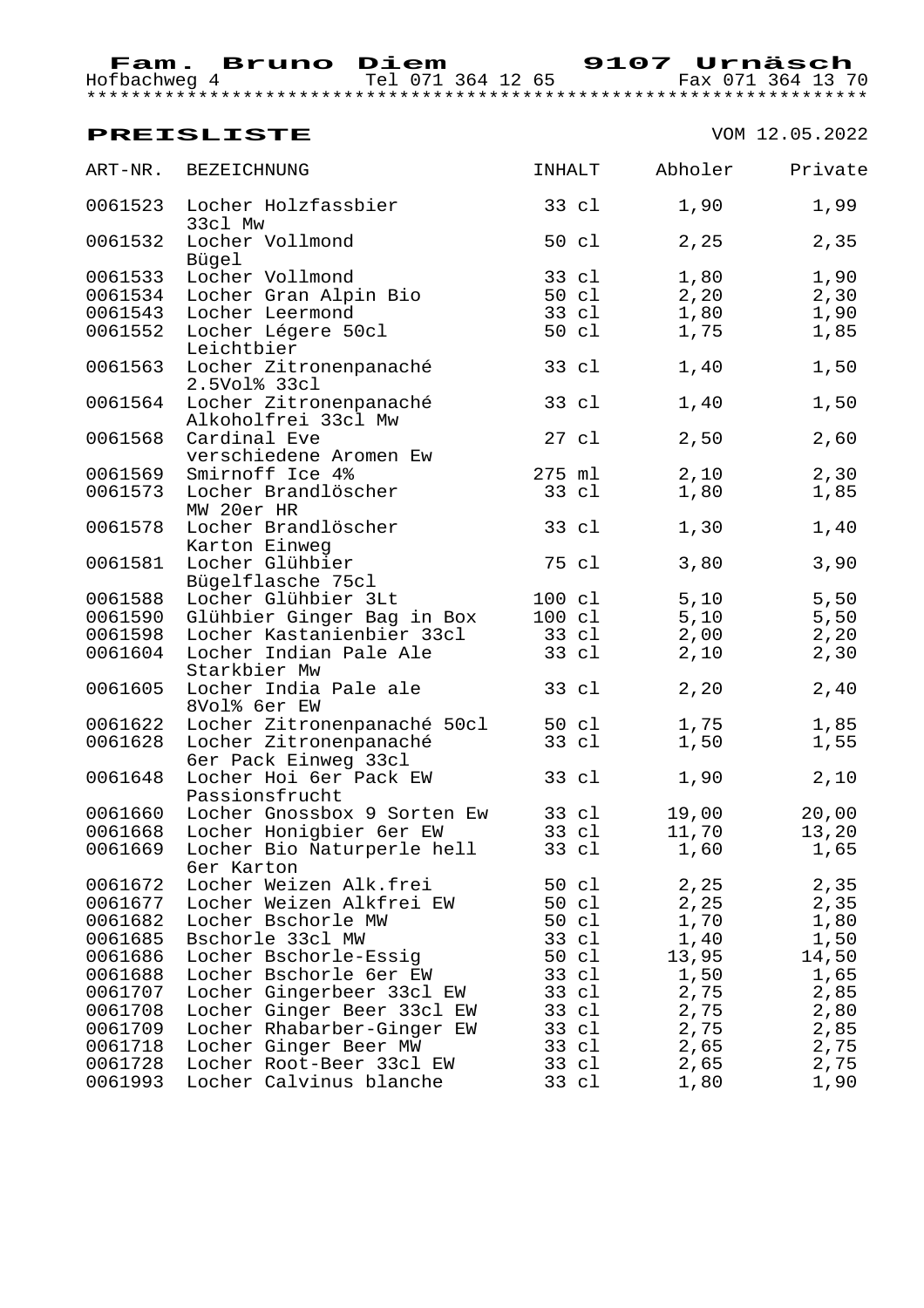| ART-NR. | BEZEICHNUNG                                    | INHALT          |       | Abholer | Private |
|---------|------------------------------------------------|-----------------|-------|---------|---------|
| 0061523 | Locher Holzfassbier<br>33cl Mw                 | 33 cl           |       | 1,90    | 1,99    |
| 0061532 | Locher Vollmond<br>Bügel                       | 50 cl           |       | 2,25    | 2,35    |
| 0061533 | Locher Vollmond                                | 33 cl           |       | 1,80    | 1,90    |
| 0061534 | Locher Gran Alpin Bio                          |                 | 50 cl | 2,20    | 2,30    |
| 0061543 | Locher Leermond                                |                 | 33 cl | 1,80    | 1,90    |
| 0061552 | Locher Légere 50cl<br>Leichtbier               |                 | 50 cl | 1,75    | 1,85    |
| 0061563 | Locher Zitronenpanaché<br>2.5Vol% 33cl         | 33 cl           |       | 1,40    | 1,50    |
| 0061564 | Locher Zitronenpanaché<br>Alkoholfrei 33cl Mw  | 33 cl           |       | 1,40    | 1,50    |
| 0061568 | Cardinal Eve<br>verschiedene Aromen Ew         | $27 \text{ cl}$ |       | 2,50    | 2,60    |
| 0061569 | Smirnoff Ice 4%                                | 275 ml          |       | 2,10    | 2,30    |
| 0061573 | Locher Brandlöscher<br>MW 20er HR              | 33 cl           |       | 1,80    | 1,85    |
| 0061578 | Locher Brandlöscher<br>Karton Einweg           | 33 cl           |       | 1,30    | 1,40    |
| 0061581 | Locher Glühbier<br>Bügelflasche 75cl           | 75 cl           |       | 3,80    | 3,90    |
| 0061588 | Locher Glühbier 3Lt                            | 100 cl          |       | 5,10    | 5,50    |
| 0061590 | Glühbier Ginger Bag in Box                     | 100 cl          |       | 5,10    | $5,50$  |
| 0061598 | Locher Kastanienbier 33cl                      | 33 cl           |       | 2,00    | 2, 20   |
| 0061604 | Locher Indian Pale Ale<br>Starkbier Mw         |                 | 33 cl | 2,10    | 2,30    |
| 0061605 | Locher India Pale ale<br>8Vol% 6er EW          | 33 cl           |       | 2, 20   | 2,40    |
| 0061622 | Locher Zitronenpanaché 50cl                    |                 | 50 cl | 1,75    | 1,85    |
| 0061628 | Locher Zitronenpanaché<br>6er Pack Einweg 33cl |                 | 33 cl | 1,50    | 1,55    |
| 0061648 | Locher Hoi 6er Pack EW<br>Passionsfrucht       | 33 cl           |       | 1,90    | 2,10    |
| 0061660 | Locher Gnossbox 9 Sorten Ew                    | 33 cl           |       | 19,00   | 20,00   |
| 0061668 | Locher Honigbier 6er EW                        | 33 cl           |       | 11,70   | 13,20   |
| 0061669 | Locher Bio Naturperle hell<br>6er Karton       | 33 cl           |       | 1,60    | 1,65    |
| 0061672 | Locher Weizen Alk.frei                         | 50 cl           |       | 2,25    | 2,35    |
| 0061677 | Locher Weizen Alkfrei EW                       | 50 cl           |       | 2,25    | 2,35    |
| 0061682 | Locher Bschorle MW                             | 50 cl           |       | 1,70    | 1,80    |
| 0061685 | Bschorle 33cl MW                               | 33 cl           |       | 1,40    | 1,50    |
| 0061686 | Locher Bschorle-Essiq                          | 50 cl           |       | 13,95   | 14,50   |
| 0061688 | Locher Bschorle 6er EW                         | 33 cl           |       | 1,50    | 1,65    |
| 0061707 | Locher Gingerbeer 33cl EW                      | 33 cl           |       | 2,75    | 2,85    |
| 0061708 | Locher Ginger Beer 33cl EW                     | 33 cl           |       | 2,75    | 2,80    |
| 0061709 | Locher Rhabarber-Ginger EW                     | 33 cl           |       | 2,75    | 2,85    |
| 0061718 | Locher Ginger Beer MW                          | 33 cl           |       | 2,65    | 2,75    |
| 0061728 | Locher Root-Beer 33cl EW                       | 33 cl           |       | 2,65    | 2,75    |
| 0061993 | Locher Calvinus blanche                        | 33 cl           |       | 1,80    | 1,90    |
|         |                                                |                 |       |         |         |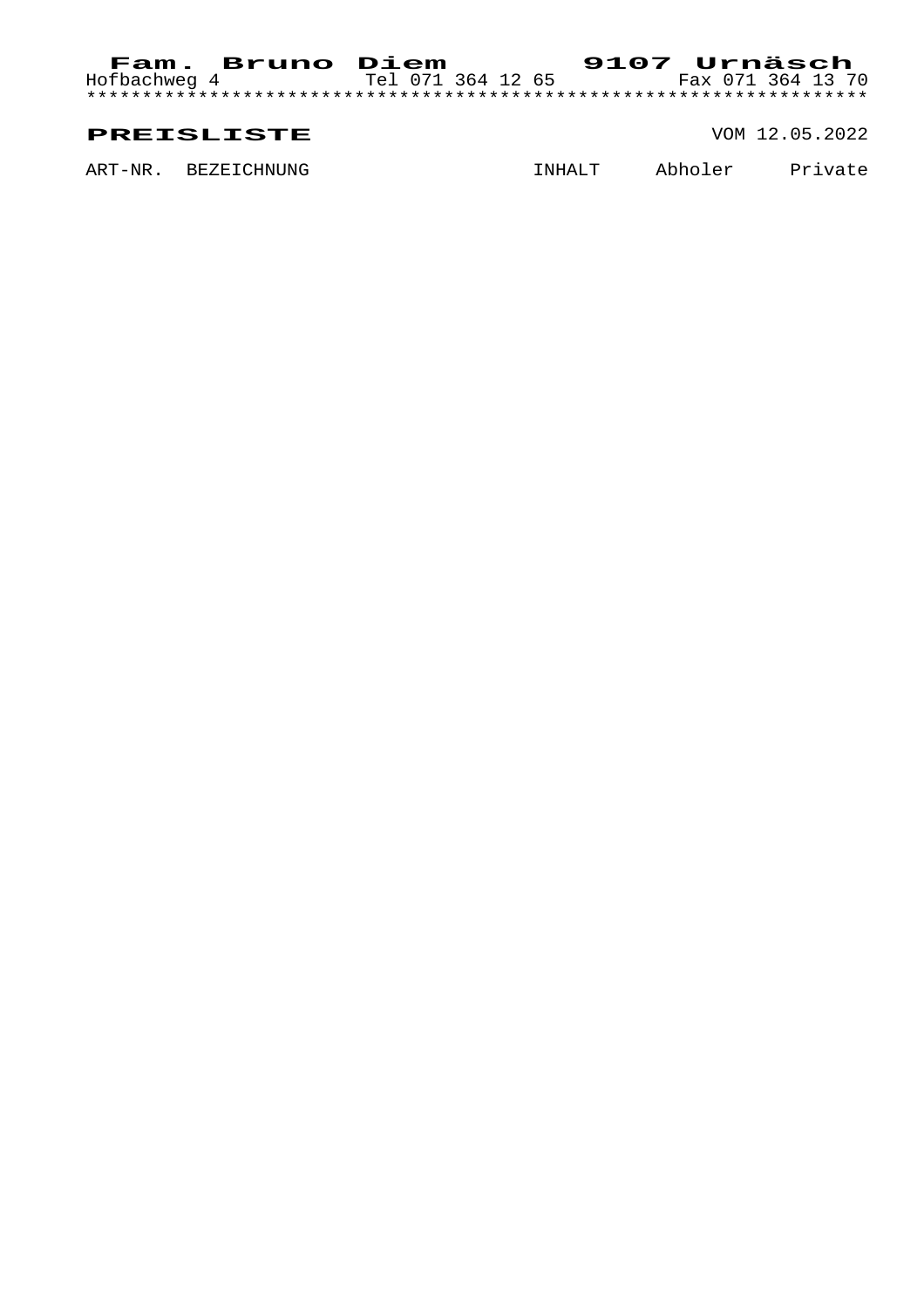#### Hofbachweg 4 Tel 071 364 12 65 Fax 071 364 13 70 \*\*\*\*\*\*\*\*\*\*\*\*\*\*\*\*\*\*\*\*\*\*\*\*\*\*\*\*\*\*\*\*\*\*\*\*\*\*\*\*\*\*\*\*\*\*\*\*\*\*\*\*\*\*\*\*\*\*\*\*\*\*\*\*\*\*\*\*\*\*

#### **PREISLISTE** VOM 12.05.2022

ART-NR. BEZEICHNUNG **INHALT** Abholer Private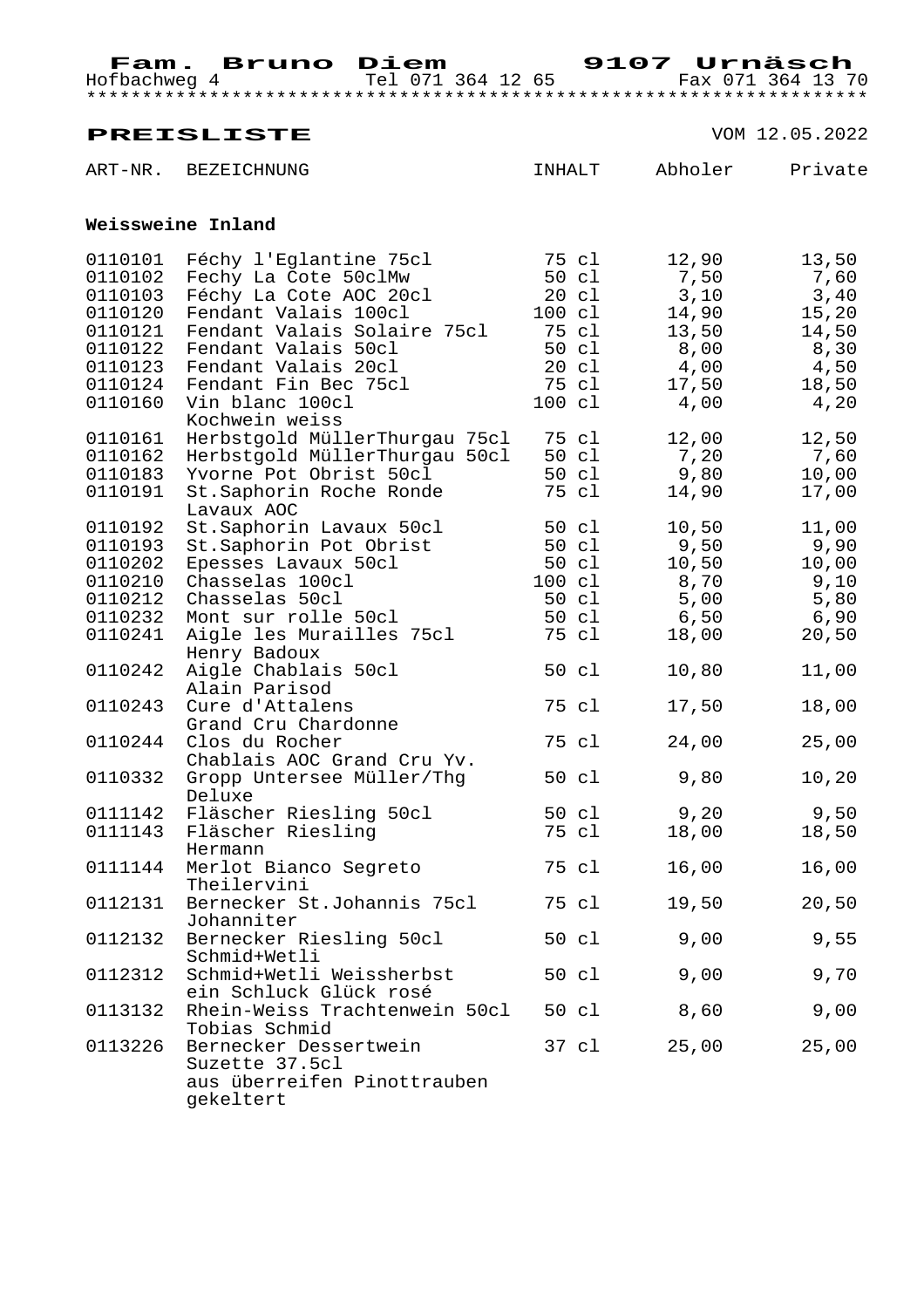## **PREISLISTE** VOM 12.05.2022 ART-NR. BEZEICHNUNG **INHALT** Abholer Private

#### **Weissweine Inland**

| 0110101 | Féchy l'Eglantine 75cl        | 75 cl            | 12,90 | 13,50 |
|---------|-------------------------------|------------------|-------|-------|
| 0110102 | Fechy La Cote 50clMw          | 50 cl            | 7,50  | 7,60  |
| 0110103 | Féchy La Cote AOC 20cl        | $20 \text{ cl}$  | 3,10  | 3,40  |
| 0110120 | Fendant Valais 100cl          | $100 \text{ cl}$ | 14,90 | 15,20 |
| 0110121 | Fendant Valais Solaire 75cl   | 75 cl            | 13,50 | 14,50 |
| 0110122 | Fendant Valais 50cl           | 50 cl            | 8,00  | 8,30  |
| 0110123 | Fendant Valais 20cl           | 20 cl            | 4,00  | 4,50  |
| 0110124 | Fendant Fin Bec 75cl          | 75 cl            | 17,50 | 18,50 |
| 0110160 | Vin blanc 100cl               | 100 cl           | 4,00  | 4,20  |
|         | Kochwein weiss                |                  |       |       |
| 0110161 | Herbstgold MüllerThurgau 75cl | 75 cl            | 12,00 | 12,50 |
| 0110162 | Herbstgold MüllerThurgau 50cl | 50 cl            | 7,20  | 7,60  |
| 0110183 | Yvorne Pot Obrist 50cl        | 50 cl            | 9,80  | 10,00 |
| 0110191 | St.Saphorin Roche Ronde       | 75 cl            | 14,90 | 17,00 |
|         | Lavaux AOC                    |                  |       |       |
| 0110192 | St.Saphorin Lavaux 50cl       | 50 cl            | 10,50 | 11,00 |
| 0110193 | St.Saphorin Pot Obrist        | 50 cl            | 9,50  | 9,90  |
| 0110202 | Epesses Lavaux 50cl           | 50 cl            | 10,50 | 10,00 |
| 0110210 | Chasselas 100cl               | 100 cl           | 8,70  | 9,10  |
| 0110212 | Chasselas 50cl                | 50 cl            | 5,00  | 5,80  |
| 0110232 | Mont sur rolle 50cl           | 50 cl            | 6,50  | 6,90  |
| 0110241 | Aigle les Murailles 75cl      | 75 cl            | 18,00 | 20,50 |
|         | Henry Badoux                  |                  |       |       |
| 0110242 | Aigle Chablais 50cl           | 50 cl            | 10,80 | 11,00 |
|         | Alain Parisod                 |                  |       |       |
| 0110243 | Cure d'Attalens               | 75 cl            | 17,50 | 18,00 |
|         | Grand Cru Chardonne           |                  |       |       |
| 0110244 | Clos du Rocher                | 75 cl            | 24,00 | 25,00 |
|         | Chablais AOC Grand Cru Yv.    |                  |       |       |
| 0110332 | Gropp Untersee Müller/Thg     | 50 cl            | 9,80  | 10,20 |
|         | Deluxe                        |                  |       |       |
| 0111142 | Fläscher Riesling 50cl        | 50 cl            | 9,20  | 9,50  |
| 0111143 | Fläscher Riesling             | 75 cl            | 18,00 | 18,50 |
|         | Hermann                       |                  |       |       |
| 0111144 | Merlot Bianco Segreto         | 75 cl            | 16,00 | 16,00 |
|         | Theilervini                   |                  |       |       |
| 0112131 | Bernecker St.Johannis 75cl    | 75 cl            | 19,50 | 20,50 |
|         | Johanniter                    |                  |       |       |
| 0112132 | Bernecker Riesling 50cl       | 50 cl            | 9,00  | 9,55  |
|         | Schmid+Wetli                  |                  |       |       |
| 0112312 | Schmid+Wetli Weissherbst      | 50 cl            | 9,00  | 9,70  |
|         | ein Schluck Glück rosé        |                  |       |       |
| 0113132 | Rhein-Weiss Trachtenwein 50cl | 50 cl            | 8,60  | 9,00  |
|         | Tobias Schmid                 |                  |       |       |
| 0113226 | Bernecker Dessertwein         | 37 cl            | 25,00 | 25,00 |
|         | Suzette 37.5cl                |                  |       |       |
|         | aus überreifen Pinottrauben   |                  |       |       |
|         | gekeltert                     |                  |       |       |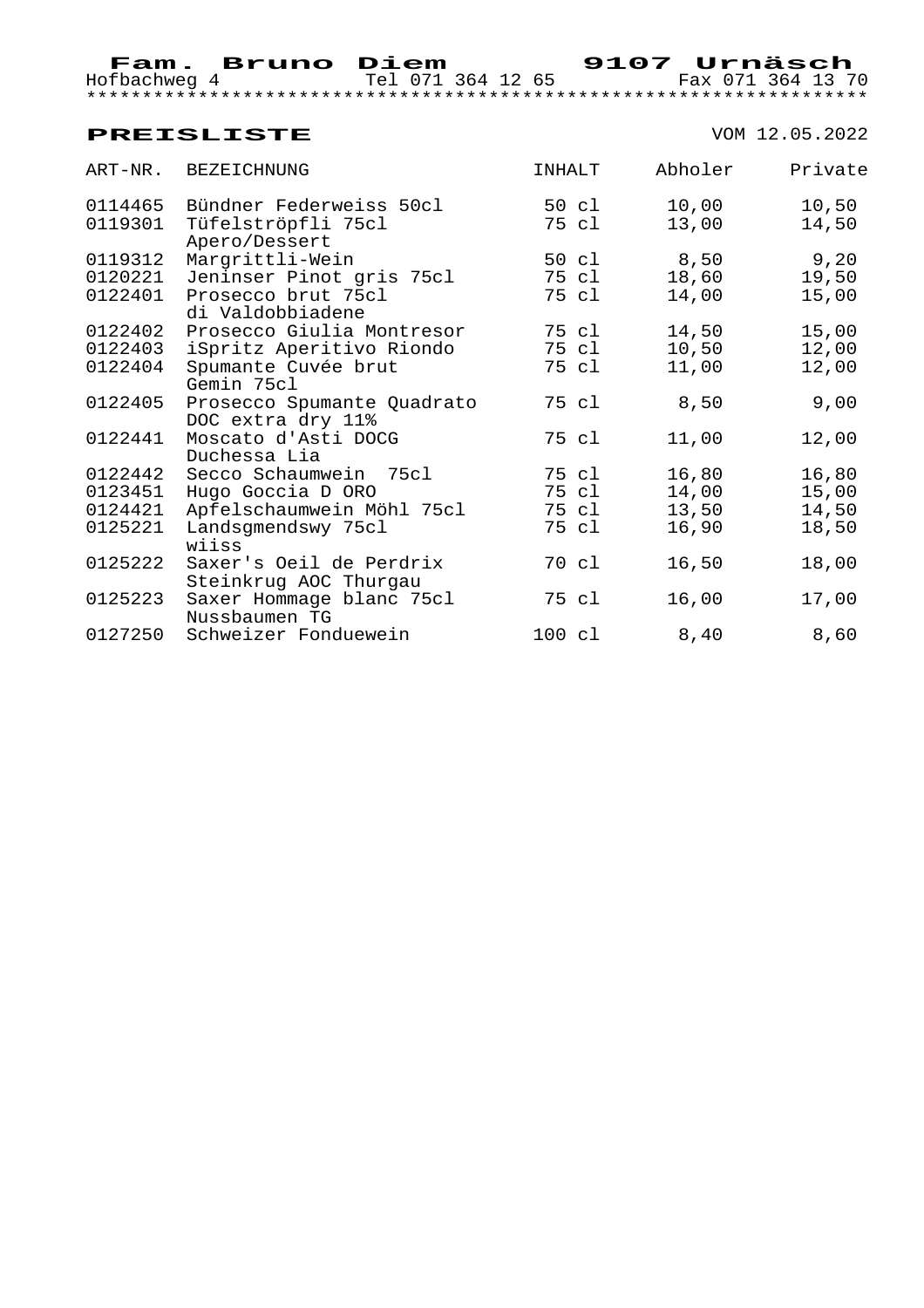| ART-NR. | <b>BEZEICHNUNG</b>                               | INHALT |       | Abholer | Private |
|---------|--------------------------------------------------|--------|-------|---------|---------|
| 0114465 | Bündner Federweiss 50cl                          |        | 50 cl | 10,00   | 10,50   |
| 0119301 | Tüfelströpfli 75cl<br>Apero/Dessert              |        | 75 cl | 13,00   | 14,50   |
| 0119312 | Margrittli-Wein                                  |        | 50 cl | 8,50    | 9,20    |
| 0120221 | Jeninser Pinot gris 75cl                         |        | 75 cl | 18,60   | 19,50   |
| 0122401 | Prosecco brut 75cl<br>di Valdobbiadene           |        | 75 cl | 14,00   | 15,00   |
| 0122402 | Prosecco Giulia Montresor                        |        | 75 cl | 14,50   | 15,00   |
| 0122403 | iSpritz Aperitivo Riondo                         |        | 75 cl | 10,50   | 12,00   |
| 0122404 | Spumante Cuvée brut<br>Gemin 75cl                |        | 75 cl | 11,00   | 12,00   |
| 0122405 | Prosecco Spumante Quadrato<br>DOC extra dry 11%  |        | 75 cl | 8,50    | 9,00    |
| 0122441 | Moscato d'Asti DOCG<br>Duchessa Lia              |        | 75 cl | 11,00   | 12,00   |
| 0122442 | Secco Schaumwein 75cl                            |        | 75 cl | 16,80   | 16,80   |
| 0123451 | Hugo Goccia D ORO                                |        | 75 cl | 14,00   | 15,00   |
| 0124421 | Apfelschaumwein Möhl 75cl                        |        | 75 cl | 13,50   | 14,50   |
| 0125221 | Landsgmendswy 75cl<br>wiiss                      |        | 75 cl | 16,90   | 18,50   |
| 0125222 | Saxer's Oeil de Perdrix<br>Steinkrug AOC Thurgau |        | 70 cl | 16,50   | 18,00   |
| 0125223 | Saxer Hommage blanc 75cl<br>Nussbaumen TG        |        | 75 cl | 16,00   | 17,00   |
| 0127250 | Schweizer Fonduewein                             | 100 cl |       | 8,40    | 8,60    |
|         |                                                  |        |       |         |         |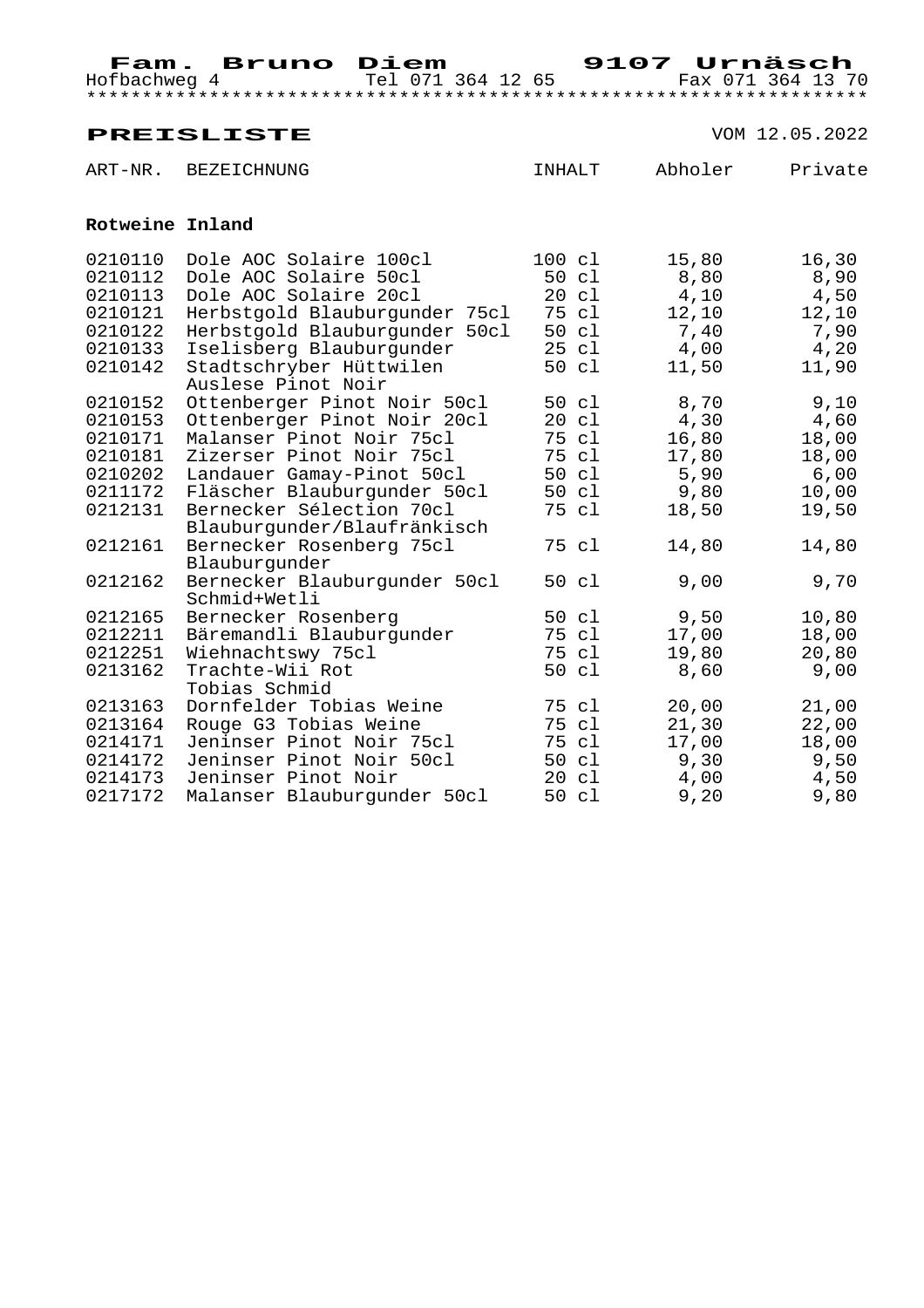# **PREISLISTE** VOM 12.05.2022 ART-NR. BEZEICHNUNG **INHALT** Abholer Private  **Rotweine Inland**

| 0210110 | Dole AOC Solaire 100cl        | 100 cl          | 15,80  | 16,30 |
|---------|-------------------------------|-----------------|--------|-------|
| 0210112 | Dole AOC Solaire 50cl         | 50 cl           | 8,80   | 8,90  |
| 0210113 | Dole AOC Solaire 20cl         | 20 c1           | 4,10   | 4,50  |
| 0210121 | Herbstgold Blauburgunder 75cl | 75 cl           | 12,10  | 12,10 |
| 0210122 | Herbstgold Blauburgunder 50cl | 50 cl           | 7,40   | 7,90  |
| 0210133 | Iselisberg Blauburgunder      | 25 cl           | 4,00   | 4,20  |
| 0210142 | Stadtschryber Hüttwilen       | 50 cl           | 11,50  | 11,90 |
|         | Auslese Pinot Noir            |                 |        |       |
| 0210152 | Ottenberger Pinot Noir 50cl   | 50 cl           | 8,70   | 9,10  |
| 0210153 | Ottenberger Pinot Noir 20cl   | 20 c1           | 4,30   | 4,60  |
| 0210171 | Malanser Pinot Noir 75cl      | 75 cl           | 16,80  | 18,00 |
| 0210181 | Zizerser Pinot Noir 75cl      | 75 cl           | 17,80  | 18,00 |
| 0210202 | Landauer Gamay-Pinot 50cl     | 50 cl           | 5,90   | 6,00  |
| 0211172 | Fläscher Blauburgunder 50cl   | 50 cl           | 9,80   | 10,00 |
| 0212131 | Bernecker Sélection 70cl      | 75 cl           | 18,50  | 19,50 |
|         | Blauburgunder/Blaufränkisch   |                 |        |       |
| 0212161 | Bernecker Rosenberg 75cl      | 75 cl           | 14,80  | 14,80 |
|         | Blauburgunder                 |                 |        |       |
| 0212162 | Bernecker Blauburgunder 50cl  | 50 cl           | 9,00   | 9,70  |
|         | Schmid+Wetli                  |                 |        |       |
| 0212165 | Bernecker Rosenberg           | 50 cl           | 9,50   | 10,80 |
| 0212211 | Bäremandli Blauburgunder      | 75 cl           | 17,00  | 18,00 |
| 0212251 | Wiehnachtswy 75cl             | 75 cl           | 19,80  | 20,80 |
| 0213162 | Trachte-Wii Rot               | 50 cl           | 8,60   | 9,00  |
|         | Tobias Schmid                 |                 |        |       |
| 0213163 | Dornfelder Tobias Weine       | 75 cl           | 20,00  | 21,00 |
| 0213164 | Rouge G3 Tobias Weine         | 75 cl           | 21, 30 | 22,00 |
| 0214171 | Jeninser Pinot Noir 75cl      | 75 cl           | 17,00  | 18,00 |
| 0214172 | Jeninser Pinot Noir 50cl      | 50 cl           | 9,30   | 9,50  |
| 0214173 | Jeninser Pinot Noir           | $20 \text{ cl}$ | 4,00   | 4,50  |
| 0217172 | Malanser Blauburgunder 50cl   | 50 cl           | 9,20   | 9,80  |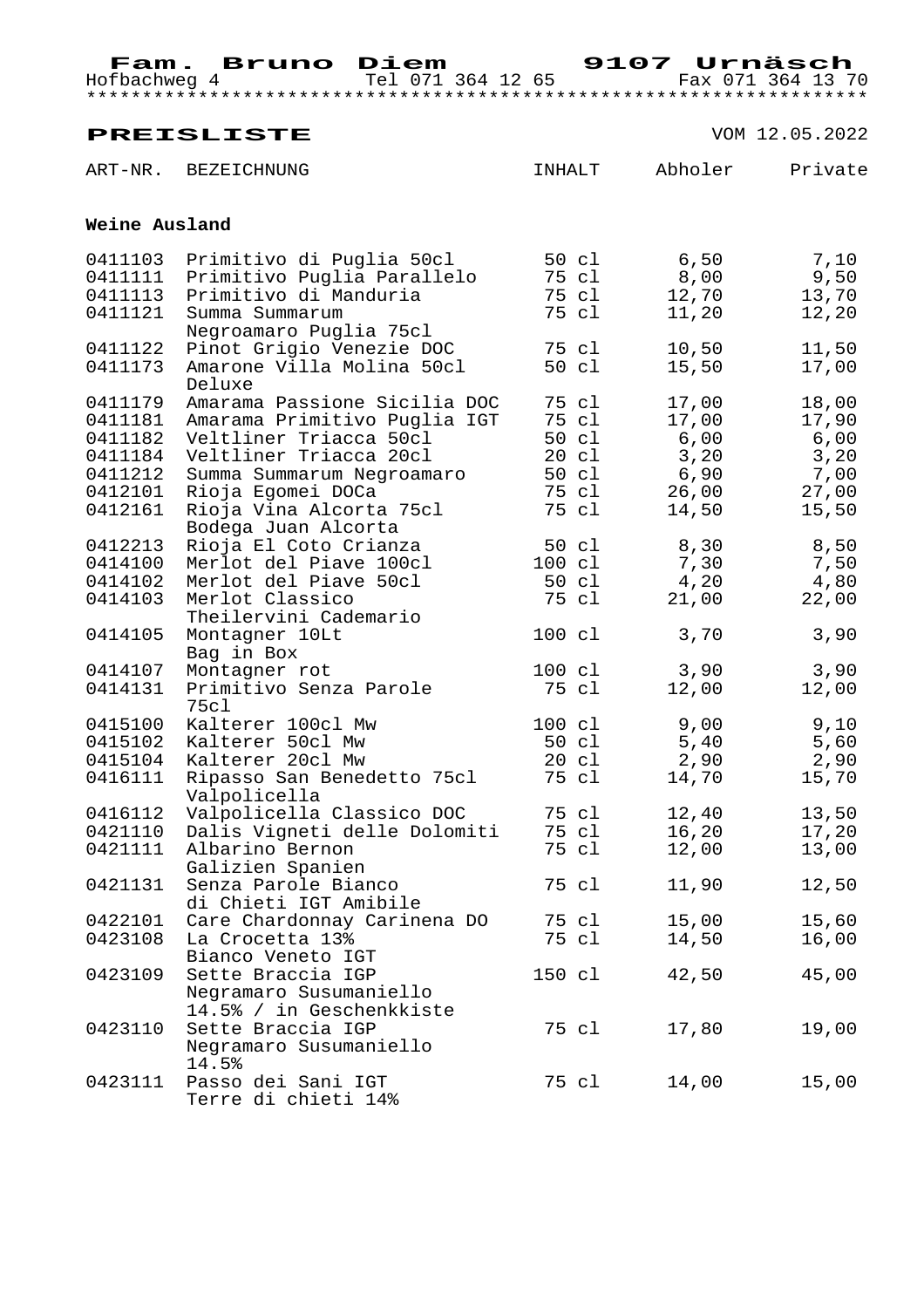|                    | <b>PREISLISTE</b>                                      |                  | VOM 12.05.2022 |                |  |
|--------------------|--------------------------------------------------------|------------------|----------------|----------------|--|
|                    | ART-NR. BEZEICHNUNG                                    | INHALT           | Abholer        | Private        |  |
|                    | Weine Ausland                                          |                  |                |                |  |
| 0411103            | Primitivo di Puglia 50cl                               | 50 cl            | 6,50           | 7,10           |  |
| 0411111            | Primitivo Puglia Parallelo                             | 75 cl            | 8,00           | 9,50           |  |
| 0411113            | Primitivo di Manduria                                  | 75 cl            | 12,70          | 13,70          |  |
| 0411121            | Summa Summarum                                         | 75 cl            | 11,20          | 12,20          |  |
|                    | Negroamaro Puglia 75cl                                 |                  |                |                |  |
| 0411122            | Pinot Grigio Venezie DOC                               | 75 cl            | 10,50          | 11,50          |  |
| 0411173            | Amarone Villa Molina 50cl                              | 50 cl            | 15,50          | 17,00          |  |
|                    | Deluxe                                                 |                  |                |                |  |
| 0411179            | Amarama Passione Sicilia DOC                           | 75 cl            | 17,00          | 18,00          |  |
| 0411181            | Amarama Primitivo Puglia IGT<br>Veltliner Triacca 50cl | 75 cl<br>50 cl   | 17,00          | 17,90          |  |
| 0411182<br>0411184 | Veltliner Triacca 20cl                                 | $20 \text{ cl}$  | 6,00           | 6,00           |  |
| 0411212            |                                                        | 50 cl            | 3,20<br>6,90   | 3,20<br>7,00   |  |
| 0412101            | Summa Summarum Negroamaro<br>Rioja Egomei DOCa         | 75 cl            | 26,00          | 27,00          |  |
| 0412161            | Rioja Vina Alcorta 75cl                                | 75 cl            | 14,50          | 15,50          |  |
|                    | Bodega Juan Alcorta                                    |                  |                |                |  |
| 0412213            | Rioja El Coto Crianza                                  | 50 cl            | 8,30           | 8,50           |  |
| 0414100            | Merlot del Piave 100cl                                 | $100 \text{ cl}$ | 7,30           | 7,50           |  |
| 0414102            | Merlot del Piave 50cl                                  | 50 cl            | 4,20           | 4,80           |  |
| 0414103            | Merlot Classico                                        | 75 cl            | 21,00          | 22,00          |  |
|                    | Theilervini Cademario                                  |                  |                |                |  |
| 0414105            | Montagner 10Lt                                         | 100 cl           | 3,70           | 3,90           |  |
|                    | Bag in Box                                             |                  |                |                |  |
| 0414107            | Montagner rot                                          | 100 cl           | 3,90           | 3,90           |  |
| 0414131            | Primitivo Senza Parole                                 | 75 cl            | 12,00          | 12,00          |  |
|                    | 75cl                                                   |                  |                |                |  |
| 0415100            | Kalterer 100cl Mw                                      | 100 cl           | 9,00           | 9,10           |  |
| 0415102            | Kalterer 50cl Mw                                       | 50 cl            | 5,40           | 5,60           |  |
| 0415104            | Kalterer 20cl Mw                                       | 20 cl            | 2,90           | 2,90           |  |
| 0416111            | Ripasso San Benedetto 75cl                             | 75 cl            | 14,70          | 15,70          |  |
| 0416112            | Valpolicella<br>Valpolicella Classico DOC              | 75 cl            |                |                |  |
| 0421110            | Dalis Vigneti delle Dolomiti                           | 75 cl            | 12,40<br>16,20 | 13,50<br>17,20 |  |
| 0421111            | Albarino Bernon                                        | 75 cl            | 12,00          | 13,00          |  |
|                    | Galizien Spanien                                       |                  |                |                |  |
| 0421131            | Senza Parole Bianco                                    | 75 cl            | 11,90          | 12,50          |  |
|                    | di Chieti IGT Amibile                                  |                  |                |                |  |
| 0422101            | Care Chardonnay Carinena DO                            | 75 cl            | 15,00          | 15,60          |  |
| 0423108            | La Crocetta 13%                                        | 75 cl            | 14,50          | 16,00          |  |
|                    | Bianco Veneto IGT                                      |                  |                |                |  |
| 0423109            | Sette Braccia IGP                                      | 150 cl           | 42,50          | 45,00          |  |
|                    | Negramaro Susumaniello                                 |                  |                |                |  |
|                    | 14.5% / in Geschenkkiste                               |                  |                |                |  |
| 0423110            | Sette Braccia IGP                                      | 75 cl            | 17,80          | 19,00          |  |
|                    | Negramaro Susumaniello                                 |                  |                |                |  |
|                    | 14.5%                                                  |                  |                |                |  |
| 0423111            | Passo dei Sani IGT                                     | 75 cl            | 14,00          | 15,00          |  |
|                    | Terre di chieti 14%                                    |                  |                |                |  |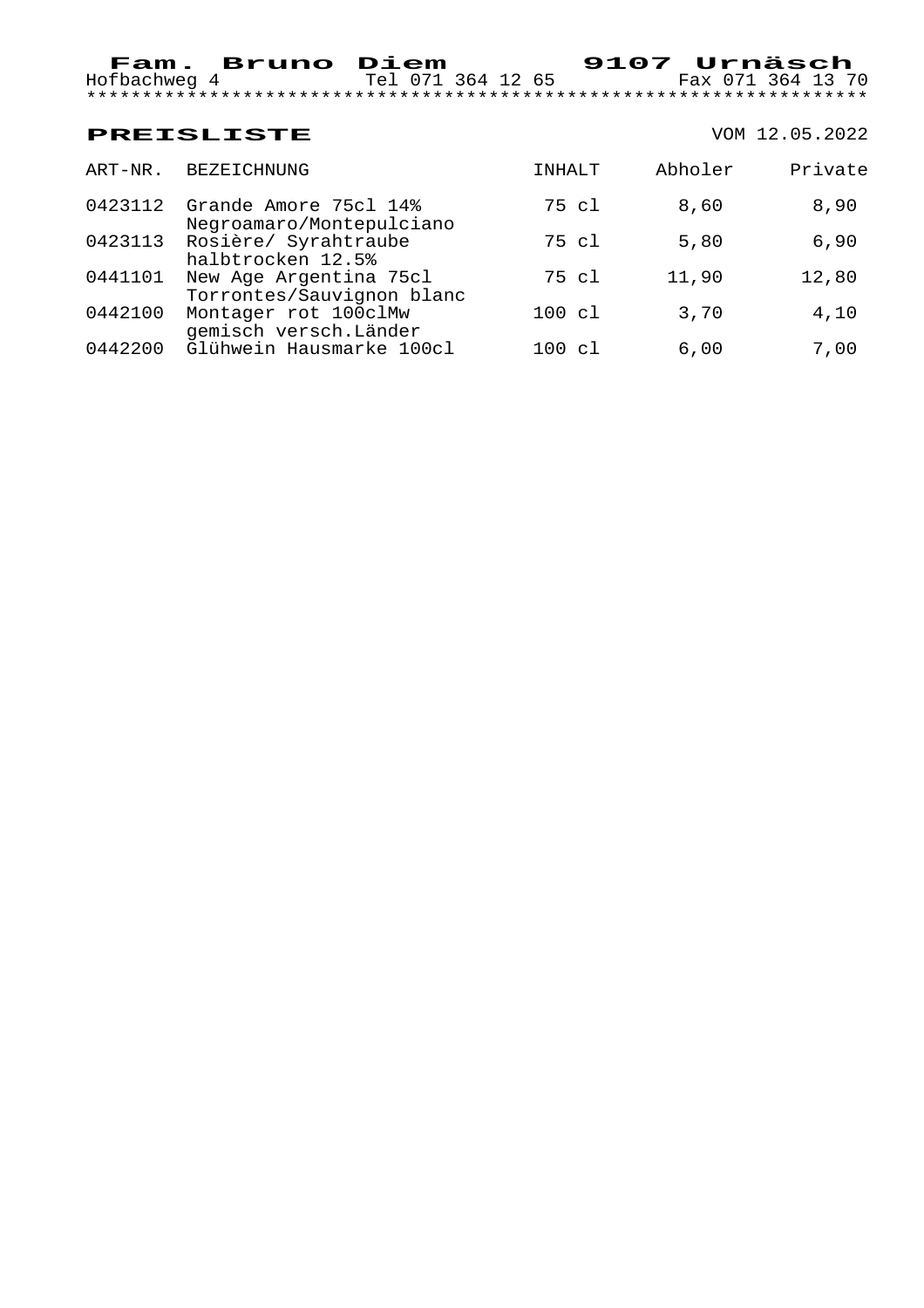|         | <b>PREISLISTE</b>                                   |              |         | VOM 12.05.2022 |
|---------|-----------------------------------------------------|--------------|---------|----------------|
| ART-NR. | <b>BEZEICHNUNG</b>                                  | INHALT       | Abholer | Private        |
| 0423112 | Grande Amore 75cl 14%<br>Negroamaro/Montepulciano   | 75 cl        | 8,60    | 8,90           |
| 0423113 | Rosière/ Syrahtraube<br>halbtrocken 12.5%           | 75 cl        | 5,80    | 6,90           |
| 0441101 | New Age Argentina 75cl<br>Torrontes/Sauvignon blanc | 75 cl        | 11,90   | 12,80          |
| 0442100 | Montager rot 100clMw<br>gemisch versch. Länder      | 100 cl       | 3,70    | 4,10           |
| 0442200 | Glühwein Hausmarke 100cl                            | 100<br>- c 1 | 6.00    | 7,00           |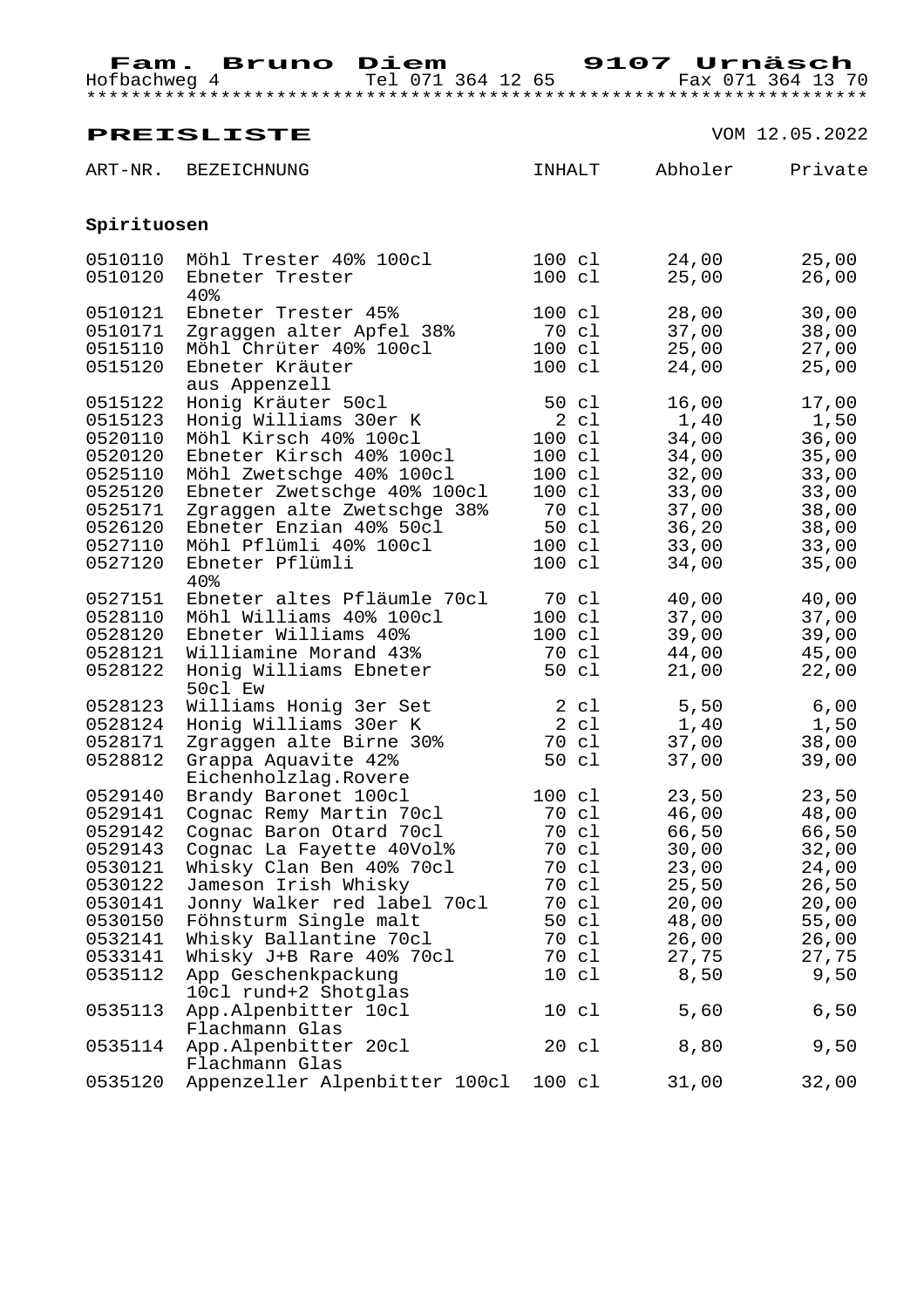|             | <b>PREISLISTE</b>                           |                  |         | VOM 12.05.2022 |
|-------------|---------------------------------------------|------------------|---------|----------------|
| ART-NR.     | <b>BEZEICHNUNG</b>                          | INHALT           | Abholer | Private        |
| Spirituosen |                                             |                  |         |                |
| 0510110     | Möhl Trester 40% 100cl                      | 100 cl           | 24,00   | 25,00          |
| 0510120     | Ebneter Trester<br>40%                      | $100 \text{ cl}$ | 25,00   | 26,00          |
| 0510121     | Ebneter Trester 45%                         | 100 cl           | 28,00   | 30,00          |
| 0510171     | Zgraggen alter Apfel 38%                    | 70 cl            | 37,00   | 38,00          |
| 0515110     | Möhl Chrüter 40% 100cl                      | 100 cl           | 25,00   | 27,00          |
| 0515120     | Ebneter Kräuter<br>aus Appenzell            | $100 \text{ cl}$ | 24,00   | 25,00          |
| 0515122     | Honig Kräuter 50cl                          | 50 cl            | 16,00   | 17,00          |
| 0515123     | Honig Williams 30er K                       | $2 \text{ cl}$   | 1,40    | 1,50           |
| 0520110     | Möhl Kirsch 40% 100cl                       | $100 \text{ cl}$ | 34,00   | 36,00          |
| 0520120     | Ebneter Kirsch 40% 100cl                    | $100 \text{ cl}$ | 34,00   | 35,00          |
| 0525110     | Möhl Zwetschge 40% 100cl                    | $100 \text{ cl}$ | 32,00   | 33,00          |
| 0525120     | Ebneter Zwetschge 40% 100cl                 | $100 \text{ cl}$ | 33,00   | 33,00          |
| 0525171     | Zgraggen alte Zwetschge 38%                 | 70 cl            | 37,00   | 38,00          |
| 0526120     | Ebneter Enzian 40% 50cl                     | 50 cl            | 36, 20  | 38,00          |
| 0527110     | Möhl Pflümli 40% 100cl                      | 100 cl           | 33,00   | 33,00          |
| 0527120     | Ebneter Pflümli<br>40%                      | 100 cl           | 34,00   | 35,00          |
| 0527151     | Ebneter altes Pfläumle 70cl                 | 70 cl            | 40,00   | 40,00          |
| 0528110     | Möhl Williams 40% 100cl                     | $100 \text{ cl}$ | 37,00   | 37,00          |
| 0528120     | Ebneter Williams 40%                        | 100 cl           | 39,00   | 39,00          |
| 0528121     | Williamine Morand 43%                       | 70 cl            | 44,00   | 45,00          |
| 0528122     | Honig Williams Ebneter<br>50cl Ew           | 50 cl            | 21,00   | 22,00          |
| 0528123     | Williams Honig 3er Set                      | $2 \text{ cl}$   | 5,50    | 6,00           |
| 0528124     | Honig Williams 30er K                       | 2 cl             | 1,40    | 1,50           |
| 0528171     | Zgraggen alte Birne 30%                     | 70 cl            | 37,00   | 38,00          |
| 0528812     | Grappa Aquavite 42%                         | 50 cl            | 37,00   | 39,00          |
|             | Eichenholzlag.Rovere                        |                  |         |                |
| 0529140     | Brandy Baronet 100cl                        | 100 cl           | 23,50   | 23,50          |
| 0529141     | Cognac Remy Martin 70cl                     | 70 cl            | 46,00   | 48,00          |
| 0529142     | Cognac Baron Otard 70cl                     | 70 cl            | 66,50   | 66,50          |
| 0529143     | Cognac La Fayette 40Vol%                    | 70 cl            | 30,00   | 32,00          |
| 0530121     | Whisky Clan Ben 40% 70cl                    | 70 cl            | 23,00   | 24,00          |
| 0530122     | Jameson Irish Whisky                        | 70 cl            | 25,50   | 26,50          |
| 0530141     | Jonny Walker red label 70cl                 | 70 cl            | 20,00   | 20,00          |
| 0530150     | Föhnsturm Single malt                       | 50 cl            | 48,00   | 55,00          |
| 0532141     | Whisky Ballantine 70cl                      | 70 cl            | 26,00   | 26,00          |
| 0533141     | Whisky J+B Rare 40% 70cl                    | 70 cl            | 27,75   | 27,75          |
| 0535112     | App Geschenkpackung<br>10cl rund+2 Shotglas | 10 c1            | 8,50    | 9,50           |
| 0535113     | App.Alpenbitter 10cl<br>Flachmann Glas      | 10 c1            | 5,60    | 6,50           |
| 0535114     | App.Alpenbitter 20cl<br>Flachmann Glas      | $20 \text{ cl}$  | 8,80    | 9,50           |
| 0535120     | Appenzeller Alpenbitter 100cl               | 100 cl           | 31,00   | 32,00          |
|             |                                             |                  |         |                |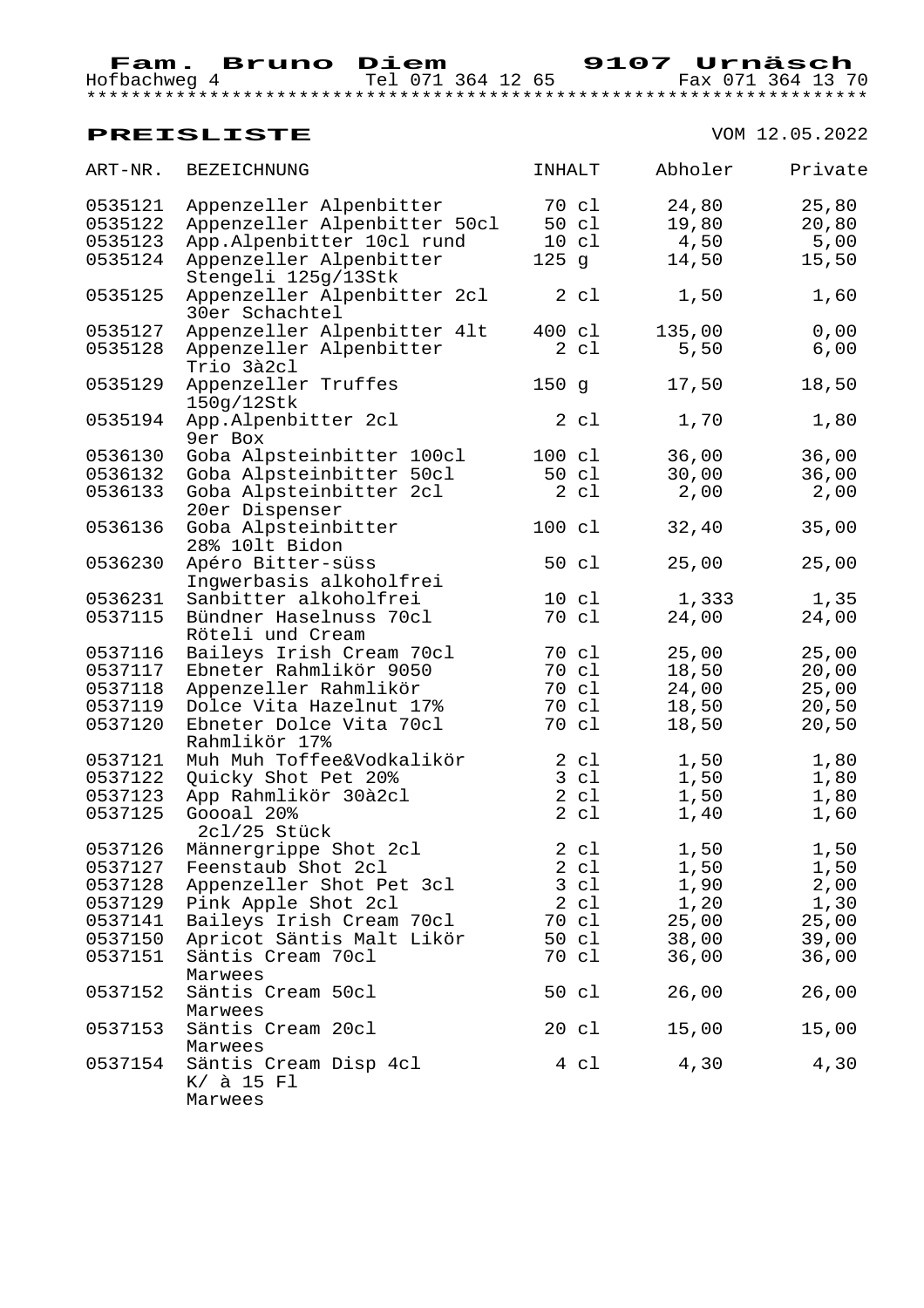Hofbachweg 4 Tel 071 364 12 65 Fax 071 364 13 70 \*\*\*\*\*\*\*\*\*\*\*\*\*\*\*\*\*\*\*\*\*\*\*\*\*\*\*\*\*\*\*\*\*\*\*\*\*\*\*\*\*\*\*\*\*\*\*\*\*\*\*\*\*\*\*\*\*\*\*\*\*\*\*\*\*\*\*\*\*\*

| ART-NR. | BEZEICHNUNG                                    | INHALT          | Abholer | Private |
|---------|------------------------------------------------|-----------------|---------|---------|
| 0535121 | Appenzeller Alpenbitter                        | 70 cl           | 24,80   | 25,80   |
| 0535122 | Appenzeller Alpenbitter 50cl                   | 50 cl           | 19,80   | 20,80   |
| 0535123 | App.Alpenbitter 10cl rund                      | $10 \text{ cl}$ | 4,50    | 5,00    |
| 0535124 | Appenzeller Alpenbitter<br>Stengeli 125g/13Stk | 125 g           | 14,50   | 15,50   |
| 0535125 | Appenzeller Alpenbitter 2cl<br>30er Schachtel  | 2 c1            | 1,50    | 1,60    |
| 0535127 | Appenzeller Alpenbitter 41t                    | 400 cl          | 135,00  | 0,00    |
| 0535128 | Appenzeller Alpenbitter<br>Trio 3à2cl          | 2 c1            | 5,50    | 6,00    |
| 0535129 | Appenzeller Truffes<br>150g/12Stk              | 150g            | 17,50   | 18,50   |
| 0535194 | App.Alpenbitter 2cl<br>9er Box                 | 2 c1            | 1,70    | 1,80    |
| 0536130 | Goba Alpsteinbitter 100cl                      | 100 cl          | 36,00   | 36,00   |
| 0536132 | Goba Alpsteinbitter 50cl                       | 50 cl           | 30,00   | 36,00   |
| 0536133 | Goba Alpsteinbitter 2cl<br>20er Dispenser      | 2 c1            | 2,00    | 2,00    |
| 0536136 | Goba Alpsteinbitter<br>28% 101t Bidon          | 100 cl          | 32,40   | 35,00   |
| 0536230 | Apéro Bitter-süss<br>Inqwerbasis alkoholfrei   | 50 cl           | 25,00   | 25,00   |
| 0536231 | Sanbitter alkoholfrei                          | $10 \text{ cl}$ | 1,333   | 1,35    |
| 0537115 | Bündner Haselnuss 70cl<br>Röteli und Cream     | 70 cl           | 24,00   | 24,00   |
| 0537116 | Baileys Irish Cream 70cl                       | 70 cl           | 25,00   | 25,00   |
| 0537117 | Ebneter Rahmlikör 9050                         | 70 cl           | 18,50   | 20,00   |
| 0537118 | Appenzeller Rahmlikör                          | 70 cl           | 24,00   | 25,00   |
| 0537119 | Dolce Vita Hazelnut 17%                        | 70 cl           | 18,50   | 20,50   |
| 0537120 | Ebneter Dolce Vita 70cl<br>Rahmlikör 17%       | 70 cl           | 18,50   | 20,50   |
| 0537121 | Muh Muh Toffee&Vodkalikör                      | 2 cl            | 1,50    | 1,80    |
| 0537122 | Quicky Shot Pet 20%                            | 3 c1            | 1,50    | 1,80    |
| 0537123 | App Rahmlikör 30à2cl                           | 2 c1            | 1,50    | 1,80    |
| 0537125 | Goooal 20%<br>2cl/25 Stück                     | 2 c1            | 1,40    | 1,60    |
| 0537126 | Männergrippe Shot 2cl                          | 2 c1            | 1,50    | 1,50    |
| 0537127 | Feenstaub Shot 2cl                             | 2 cl            | 1,50    | 1,50    |
| 0537128 | Appenzeller Shot Pet 3cl                       | 3 cl            | 1,90    | 2,00    |
| 0537129 | Pink Apple Shot 2cl                            | 2 c1            | 1,20    | 1,30    |
| 0537141 | Baileys Irish Cream 70cl                       | 70 cl           | 25,00   | 25,00   |
| 0537150 | Apricot Säntis Malt Likör                      | 50 cl           | 38,00   | 39,00   |
| 0537151 | Säntis Cream 70cl<br>Marwees                   | 70 cl           | 36,00   | 36,00   |
| 0537152 | Säntis Cream 50cl<br>Marwees                   | 50 cl           | 26,00   | 26,00   |
| 0537153 | Säntis Cream 20cl<br>Marwees                   | $20 \text{ cl}$ | 15,00   | 15,00   |
| 0537154 | Säntis Cream Disp 4cl<br>K/ à 15 Fl<br>Marwees | 4 cl            | 4,30    | 4,30    |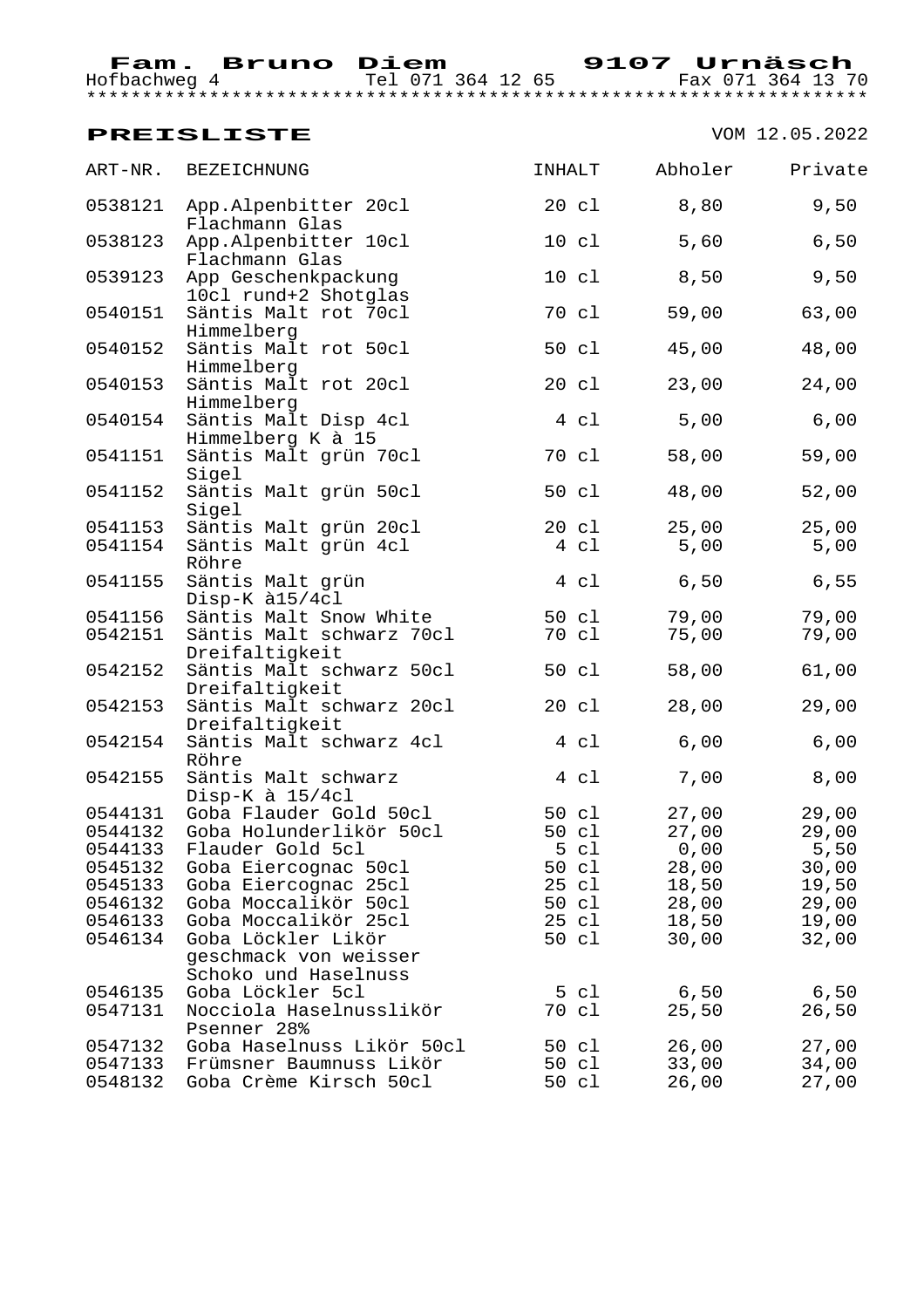Hofbachweg 4 Tel 071 364 12 65 Fax 071 364 13 70 \*\*\*\*\*\*\*\*\*\*\*\*\*\*\*\*\*\*\*\*\*\*\*\*\*\*\*\*\*\*\*\*\*\*\*\*\*\*\*\*\*\*\*\*\*\*\*\*\*\*\*\*\*\*\*\*\*\*\*\*\*\*\*\*\*\*\*\*\*\*

| ART-NR. | BEZEICHNUNG                                                         | INHALT          | Abholer | Private |
|---------|---------------------------------------------------------------------|-----------------|---------|---------|
| 0538121 | App.Alpenbitter 20cl<br>Flachmann Glas                              | $20 \text{ cl}$ | 8,80    | 9,50    |
| 0538123 | App.Alpenbitter 10cl<br>Flachmann Glas                              | $10 \text{ cl}$ | 5,60    | $6,50$  |
| 0539123 | App Geschenkpackung<br>10cl rund+2 Shotglas                         | $10 \text{ cl}$ | 8,50    | 9,50    |
| 0540151 | Säntis Malt rot 70cl<br>Himmelberg                                  | 70 cl           | 59,00   | 63,00   |
| 0540152 | Säntis Malt rot 50cl<br>Himmelberg                                  | 50 cl           | 45,00   | 48,00   |
| 0540153 | Säntis Malt rot 20cl<br>Himmelberg                                  | 20 cl           | 23,00   | 24,00   |
| 0540154 | Säntis Malt Disp 4cl<br>Himmelberg K à 15                           | 4 c1            | 5,00    | $6,00$  |
| 0541151 | Säntis Malt grün 70cl<br>Sigel                                      | 70 cl           | 58,00   | 59,00   |
| 0541152 | Säntis Malt grün 50cl<br>Sigel                                      | 50 cl           | 48,00   | 52,00   |
| 0541153 | Säntis Malt grün 20cl                                               | 20 cl           | 25,00   | 25,00   |
| 0541154 | Säntis Malt grün 4cl<br>Röhre                                       | 4 cl            | 5,00    | 5,00    |
| 0541155 | Säntis Malt grün<br>Disp-K à15/4cl                                  | 4 c1            | 6,50    | 6,55    |
| 0541156 | Säntis Malt Snow White                                              | 50 cl           | 79,00   | 79,00   |
| 0542151 | Säntis Malt schwarz 70cl<br>Dreifaltigkeit                          | 70 cl           | 75,00   | 79,00   |
| 0542152 | Säntis Malt schwarz 50cl<br>Dreifaltigkeit                          | 50 cl           | 58,00   | 61,00   |
| 0542153 | Säntis Malt schwarz 20cl<br>Dreifaltigkeit                          | 20 cl           | 28,00   | 29,00   |
| 0542154 | Säntis Malt schwarz 4cl<br>Röhre                                    | 4 cl            | 6,00    | 6,00    |
| 0542155 | Säntis Malt schwarz<br>Disp-K à 15/4cl                              | 4 cl            | 7,00    | 8,00    |
| 0544131 | Goba Flauder Gold 50cl                                              | 50 cl           | 27,00   | 29,00   |
| 0544132 | Goba Holunderlikör 50cl                                             | 50 cl           | 27,00   | 29,00   |
| 0544133 | Flauder Gold 5cl                                                    | 5 cl            | 0,00    | $5,50$  |
| 0545132 | Goba Eiercognac 50cl                                                | 50 cl           | 28,00   | 30,00   |
| 0545133 | Goba Eiercognac 25cl                                                | 25 cl           | 18,50   | 19,50   |
| 0546132 | Goba Moccalikör 50cl                                                | 50 cl           | 28,00   | 29,00   |
| 0546133 | Goba Moccalikör 25cl                                                | 25 cl           | 18,50   | 19,00   |
| 0546134 | Goba Löckler Likör<br>geschmack von weisser<br>Schoko und Haselnuss | 50 cl           | 30,00   | 32,00   |
| 0546135 | Goba Löckler 5cl                                                    | 5 cl            | 6,50    | 6,50    |
| 0547131 | Nocciola Haselnusslikör<br>Psenner 28%                              | 70 cl           | 25,50   | 26,50   |
| 0547132 | Goba Haselnuss Likör 50cl                                           | 50 cl           | 26,00   | 27,00   |
| 0547133 | Frümsner Baumnuss Likör                                             | 50 cl           | 33,00   | 34,00   |
| 0548132 | Goba Crème Kirsch 50cl                                              | 50 cl           | 26,00   | 27,00   |
|         |                                                                     |                 |         |         |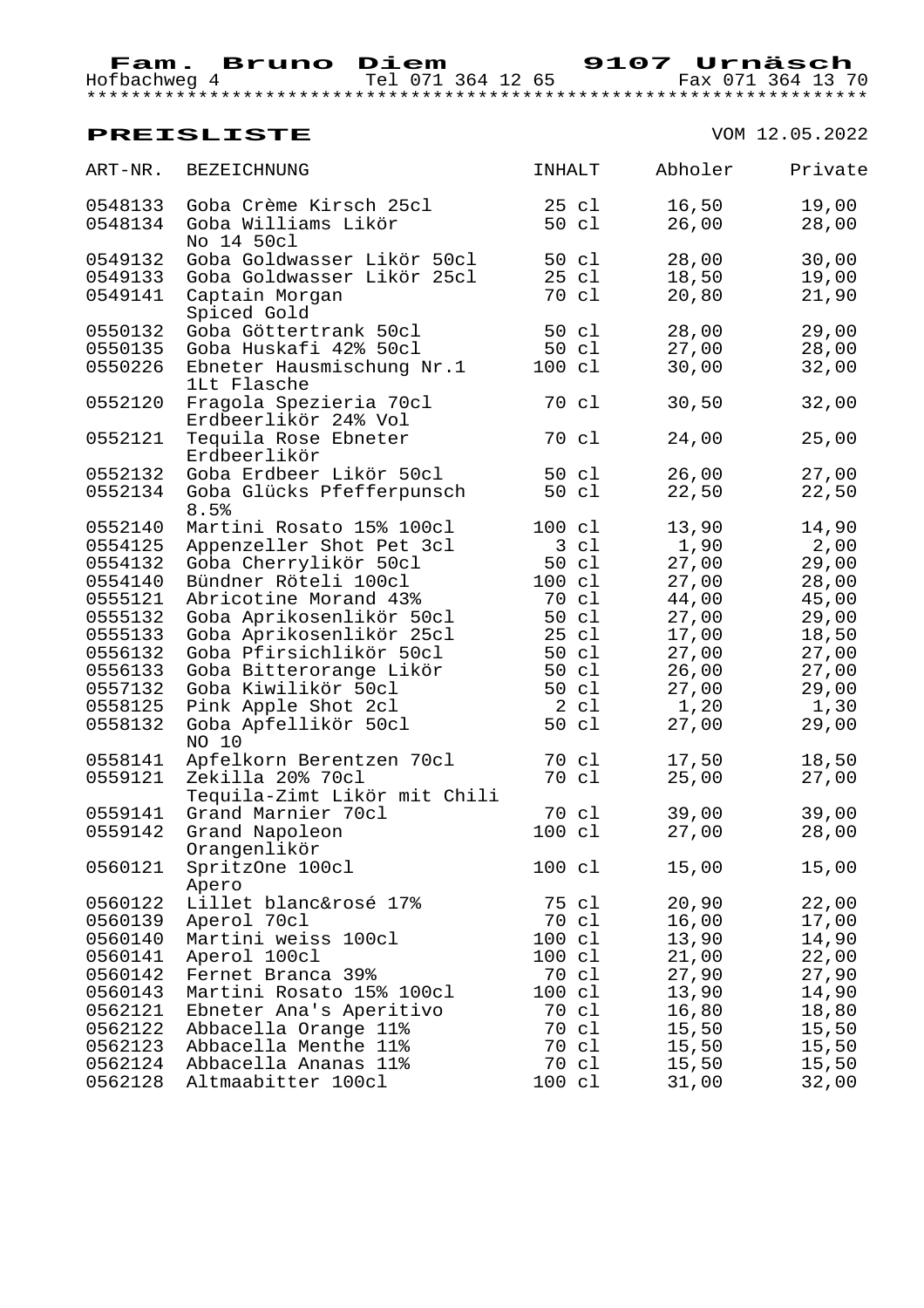Hofbachweg 4 Tel 071 364 12 65 Fax 071 364 13 70 \*\*\*\*\*\*\*\*\*\*\*\*\*\*\*\*\*\*\*\*\*\*\*\*\*\*\*\*\*\*\*\*\*\*\*\*\*\*\*\*\*\*\*\*\*\*\*\*\*\*\*\*\*\*\*\*\*\*\*\*\*\*\*\*\*\*\*\*\*\*

| <b>BEZEICHNUNG</b>                               | <b>INHALT</b>                                                                                                                                                        | Abholer        | Private                                                     |
|--------------------------------------------------|----------------------------------------------------------------------------------------------------------------------------------------------------------------------|----------------|-------------------------------------------------------------|
| Goba Crème Kirsch 25cl                           | 25 cl                                                                                                                                                                | 16,50          | 19,00                                                       |
| Goba Williams Likör<br>No 14 50cl                | 50 cl                                                                                                                                                                | 26,00          | 28,00                                                       |
| Goba Goldwasser Likör 50cl                       | 50 cl                                                                                                                                                                | 28,00          | 30,00                                                       |
| Goba Goldwasser Likör 25cl                       | 25 cl                                                                                                                                                                | 18,50          | 19,00                                                       |
| Captain Morgan<br>Spiced Gold                    | 70 cl                                                                                                                                                                | 20,80          | 21,90                                                       |
| Goba Göttertrank 50cl                            | 50 cl                                                                                                                                                                | 28,00          | 29,00                                                       |
| Goba Huskafi 42% 50cl                            |                                                                                                                                                                      | 27,00          | 28,00                                                       |
| Ebneter Hausmischung Nr.1<br>1Lt Flasche         | $100 \text{ cl}$                                                                                                                                                     | 30,00          | 32,00                                                       |
| Fragola Spezieria 70cl<br>Erdbeerlikör 24% Vol   | 70 cl                                                                                                                                                                | 30,50          | 32,00                                                       |
| Tequila Rose Ebneter<br>Erdbeerlikör             | 70 cl                                                                                                                                                                | 24,00          | 25,00                                                       |
| Goba Erdbeer Likör 50cl                          | 50 cl                                                                                                                                                                | 26,00          | 27,00                                                       |
| Goba Glücks Pfefferpunsch                        | 50 cl                                                                                                                                                                | 22,50          | 22,50                                                       |
| Martini Rosato 15% 100cl                         | 100 cl                                                                                                                                                               | 13,90          | 14,90                                                       |
|                                                  | 3 cl                                                                                                                                                                 | 1,90           | 2,00                                                        |
| Goba Cherrylikör 50cl                            | 50 cl                                                                                                                                                                | 27,00          | 29,00                                                       |
| Bündner Röteli 100cl                             | $100 \text{ cl}$                                                                                                                                                     | 27,00          | 28,00                                                       |
|                                                  | 70 cl                                                                                                                                                                |                | 45,00                                                       |
|                                                  | 50 cl                                                                                                                                                                |                | 29,00                                                       |
|                                                  | 25 cl                                                                                                                                                                |                | 18,50                                                       |
| Goba Pfirsichlikör 50cl                          | 50 cl                                                                                                                                                                |                | 27,00                                                       |
|                                                  | 50 cl                                                                                                                                                                | 26,00          | 27,00                                                       |
| Goba Kiwilikör 50cl                              | 50 cl                                                                                                                                                                | 27,00          | 29,00                                                       |
| Pink Apple Shot 2cl                              | 2 cl                                                                                                                                                                 | 1,20           | 1,30                                                        |
| Goba Apfellikör 50cl<br>NO 10                    | 50 cl                                                                                                                                                                | 27,00          | 29,00                                                       |
| Apfelkorn Berentzen 70cl                         | 70 cl                                                                                                                                                                | 17,50          | 18,50                                                       |
| Zekilla 20% 70cl<br>Tequila-Zimt Likör mit Chili |                                                                                                                                                                      | 25,00          | 27,00                                                       |
| Grand Marnier 70cl                               | 70 cl                                                                                                                                                                | 39,00          | 39,00                                                       |
| Grand Napoleon<br>Orangenlikör                   | 100 cl                                                                                                                                                               | 27,00          | 28,00                                                       |
| SpritzOne 100cl                                  | 100 cl                                                                                                                                                               | 15,00          | 15,00                                                       |
| Lillet blanc&rosé 17%                            | 75 cl                                                                                                                                                                |                | 22,00                                                       |
|                                                  | 70 cl                                                                                                                                                                | 16,00          | 17,00                                                       |
| Martini weiss 100cl                              | 100 cl                                                                                                                                                               | 13,90          | 14,90                                                       |
| Aperol 100cl                                     | 100 cl                                                                                                                                                               |                | 22,00                                                       |
| Fernet Branca 39%                                | 70 cl                                                                                                                                                                |                | 27,90                                                       |
| Martini Rosato 15% 100cl                         | 100 cl                                                                                                                                                               | 13,90          | 14,90                                                       |
| Ebneter Ana's Aperitivo                          | 70 cl                                                                                                                                                                | 16,80          | 18,80                                                       |
| Abbacella Orange 11%                             | 70 cl                                                                                                                                                                | 15,50          | 15,50                                                       |
| Abbacella Menthe 11%                             | 70 cl                                                                                                                                                                | 15,50          | 15,50                                                       |
| Abbacella Ananas 11%                             | 70 cl                                                                                                                                                                | 15,50          | 15,50                                                       |
| Altmaabitter 100cl                               | $100 \text{ cl}$                                                                                                                                                     | 31,00          | 32,00                                                       |
|                                                  | 8.5%<br>Appenzeller Shot Pet 3cl<br>Abricotine Morand 43%<br>Goba Aprikosenlikör 50cl<br>Goba Aprikosenlikör 25cl<br>Goba Bitterorange Likör<br>Apero<br>Aperol 70cl | 50 cl<br>70 cl | 44,00<br>27,00<br>17,00<br>27,00<br>20,90<br>21,00<br>27,90 |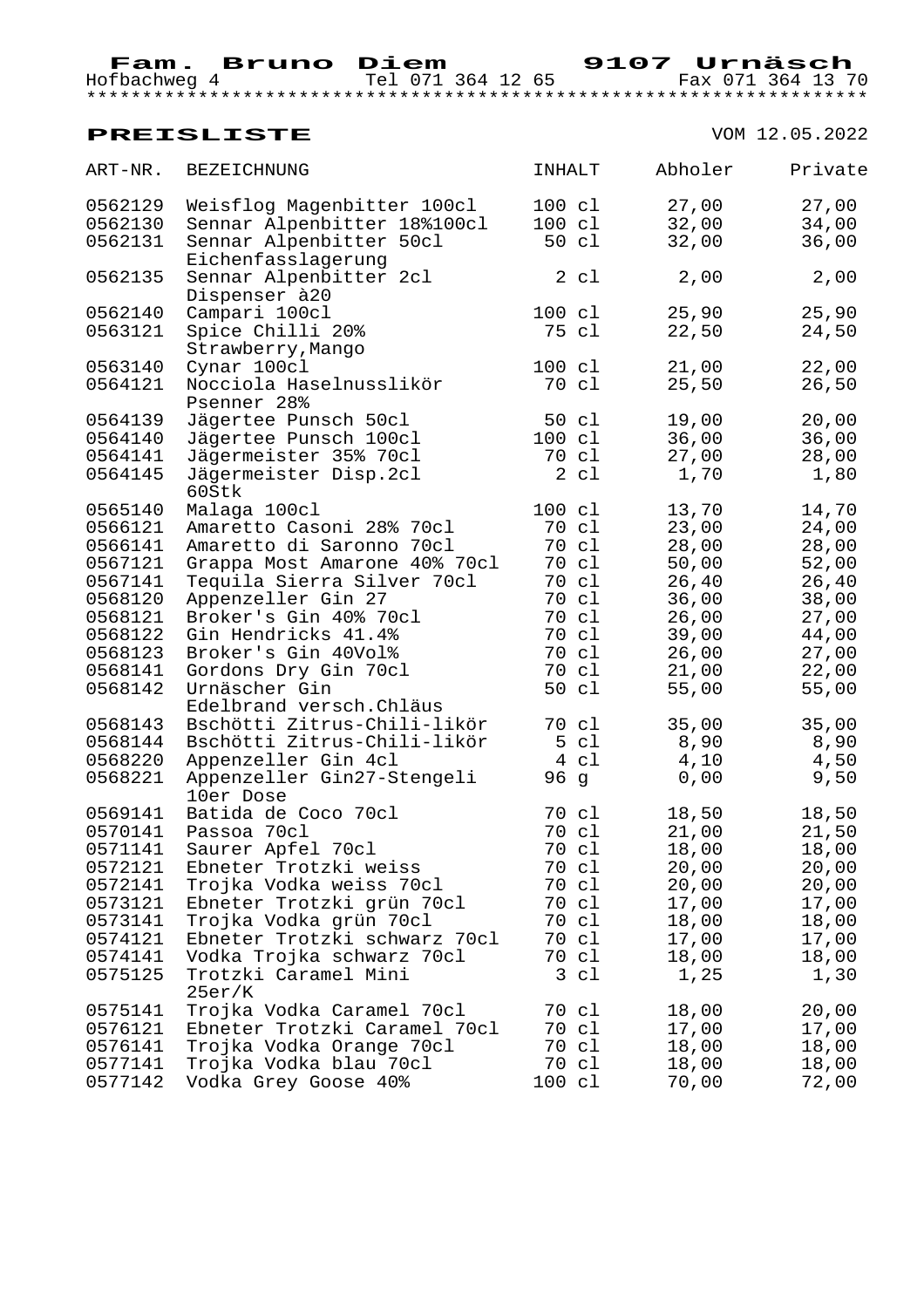Hofbachweg 4 Tel 071 364 12 65 Fax 071 364 13 70 \*\*\*\*\*\*\*\*\*\*\*\*\*\*\*\*\*\*\*\*\*\*\*\*\*\*\*\*\*\*\*\*\*\*\*\*\*\*\*\*\*\*\*\*\*\*\*\*\*\*\*\*\*\*\*\*\*\*\*\*\*\*\*\*\*\*\*\*\*\*

| ART-NR. | <b>BEZEICHNUNG</b>                  | INHALT           |                | Abholer | Private |
|---------|-------------------------------------|------------------|----------------|---------|---------|
| 0562129 | Weisflog Magenbitter 100cl          | 100 cl           |                | 27,00   | 27,00   |
| 0562130 | Sennar Alpenbitter 18%100cl         | $100 \text{ cl}$ |                | 32,00   | 34,00   |
| 0562131 | Sennar Alpenbitter 50cl             |                  | 50 cl          | 32,00   | 36,00   |
|         | Eichenfasslagerung                  |                  |                |         |         |
| 0562135 | Sennar Alpenbitter 2cl              |                  | 2 c1           | 2,00    | 2,00    |
|         | Dispenser à 20                      |                  |                |         |         |
| 0562140 | Campari 100cl                       | 100 cl           |                | 25,90   | 25,90   |
| 0563121 | Spice Chilli 20%                    |                  | 75 cl          | 22,50   | 24,50   |
|         | Strawberry, Mango                   |                  |                |         |         |
| 0563140 | Cynar 100cl                         | $100 \text{ cl}$ |                | 21,00   | 22,00   |
| 0564121 | Nocciola Haselnusslikör             |                  | 70 cl          | 25,50   | 26,50   |
|         | Psenner 28%                         |                  |                |         |         |
| 0564139 | Jägertee Punsch 50cl                |                  | 50 cl          | 19,00   | 20,00   |
| 0564140 | Jägertee Punsch 100cl               | 100 cl           |                | 36,00   | 36,00   |
| 0564141 | Jägermeister 35% 70cl               |                  | 70 cl          | 27,00   | 28,00   |
| 0564145 | Jägermeister Disp.2cl<br>60Stk      |                  | $2 \text{ cl}$ | 1,70    | 1,80    |
| 0565140 | Malaga 100cl                        | 100 cl           |                | 13,70   | 14,70   |
| 0566121 | Amaretto Casoni 28% 70cl            | 70 cl            |                | 23,00   | 24,00   |
| 0566141 | Amaretto di Saronno 70cl            | 70 cl            |                | 28,00   | 28,00   |
| 0567121 | Grappa Most Amarone 40% 70cl        | 70 cl            |                | 50,00   | 52,00   |
| 0567141 | Tequila Sierra Silver 70cl          |                  | 70 cl          | 26,40   | 26,40   |
| 0568120 | Appenzeller Gin 27                  |                  | 70 cl          | 36,00   | 38,00   |
| 0568121 | Broker's Gin 40% 70cl               |                  | 70 cl          | 26,00   | 27,00   |
| 0568122 | Gin Hendricks 41.4%                 |                  | 70 cl          | 39,00   | 44,00   |
| 0568123 | Broker's Gin 40Vol%                 |                  | 70 cl          | 26,00   | 27,00   |
| 0568141 | Gordons Dry Gin 70cl                |                  | 70 cl          | 21,00   | 22,00   |
| 0568142 | Urnäscher Gin                       |                  | 50 cl          | 55,00   | 55,00   |
|         | Edelbrand versch. Chläus            |                  |                |         |         |
| 0568143 | Bschötti Zitrus-Chili-likör         |                  | 70 cl          | 35,00   | 35,00   |
| 0568144 | Bschötti Zitrus-Chili-likör         |                  | 5 cl           | 8,90    | 8,90    |
| 0568220 | Appenzeller Gin 4cl                 |                  | 4 c1           | 4,10    | 4,50    |
| 0568221 | Appenzeller Gin27-Stengeli          | 96 g             |                | 0,00    | 9,50    |
|         | 10er Dose                           |                  |                |         |         |
| 0569141 | Batida de Coco 70cl                 | 70 cl            |                | 18,50   | 18,50   |
| 0570141 | Passoa 70cl                         |                  | 70 cl          | 21,00   | 21,50   |
| 0571141 | Saurer Apfel 70cl                   | 70 cl            |                | 18,00   | 18,00   |
| 0572121 | Ebneter Trotzki weiss               | 70 cl            |                | 20,00   | 20,00   |
| 0572141 | Trojka Vodka weiss 70cl             | 70 cl            |                | 20,00   | 20,00   |
| 0573121 | Ebneter Trotzki grün 70cl           | 70 cl            |                | 17,00   | 17,00   |
| 0573141 | Trojka Vodka grün 70cl              | 70 cl            |                | 18,00   | 18,00   |
| 0574121 | Ebneter Trotzki schwarz 70cl        |                  | 70 cl          | 17,00   | 17,00   |
| 0574141 | Vodka Trojka schwarz 70cl           |                  | 70 cl          | 18,00   | 18,00   |
| 0575125 | Trotzki Caramel Mini                |                  | 3 c1           | 1,25    | 1,30    |
| 0575141 | 25er/K<br>Trojka Vodka Caramel 70cl | 70 cl            |                | 18,00   | 20,00   |
| 0576121 | Ebneter Trotzki Caramel 70cl        |                  | 70 cl          | 17,00   | 17,00   |
| 0576141 | Trojka Vodka Orange 70cl            |                  | 70 cl          | 18,00   | 18,00   |
| 0577141 | Trojka Vodka blau 70cl              |                  | 70 cl          | 18,00   | 18,00   |
| 0577142 | Vodka Grey Goose 40%                | 100 cl           |                | 70,00   | 72,00   |
|         |                                     |                  |                |         |         |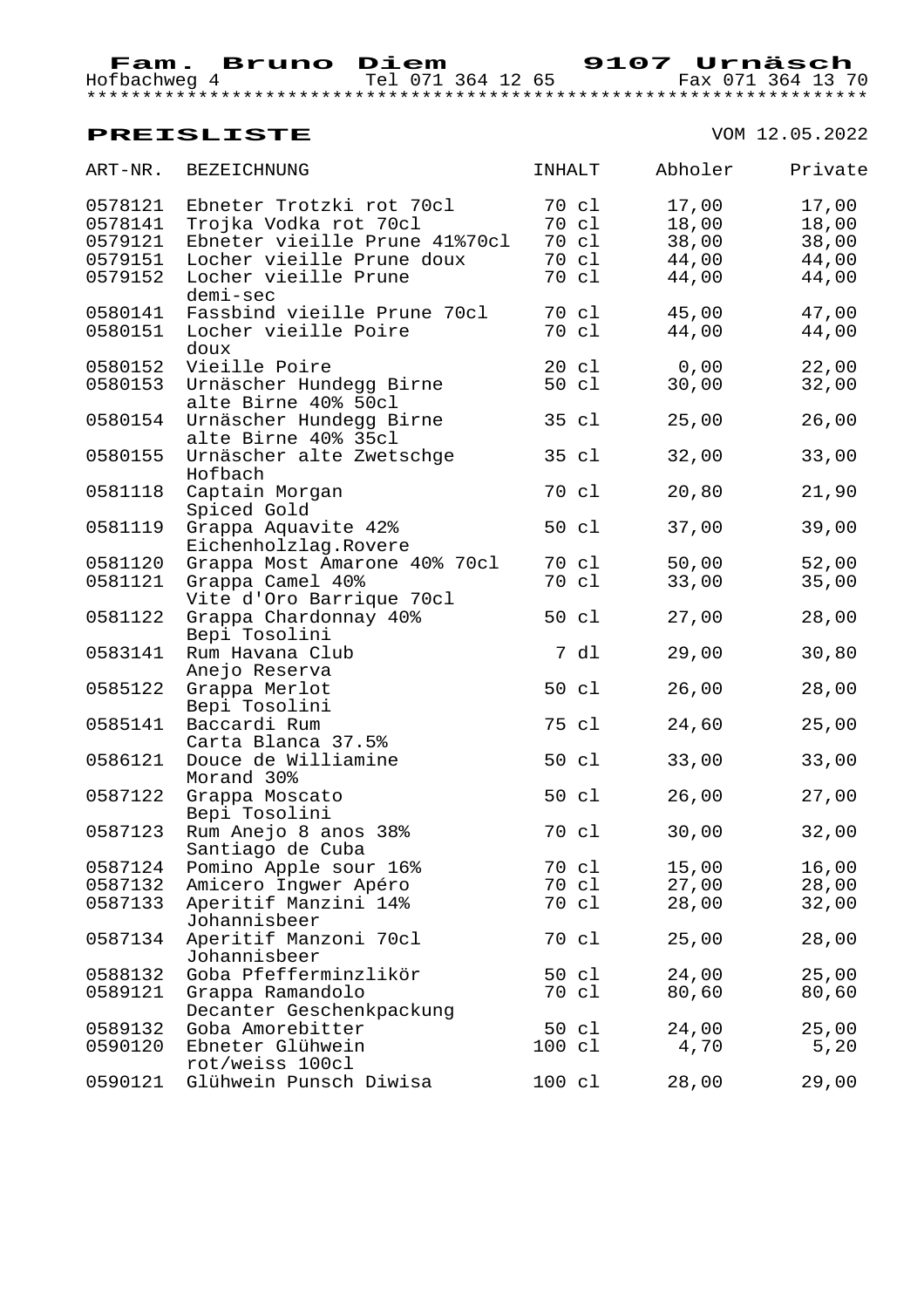Hofbachweg 4 Tel 071 364 12 65 Fax 071 364 13 70 \*\*\*\*\*\*\*\*\*\*\*\*\*\*\*\*\*\*\*\*\*\*\*\*\*\*\*\*\*\*\*\*\*\*\*\*\*\*\*\*\*\*\*\*\*\*\*\*\*\*\*\*\*\*\*\*\*\*\*\*\*\*\*\*\*\*\*\*\*\*

| ART-NR. | <b>BEZEICHNUNG</b>                       | INHALT |                 | Abholer | Private |
|---------|------------------------------------------|--------|-----------------|---------|---------|
| 0578121 | Ebneter Trotzki rot 70cl                 |        | 70 cl           | 17,00   | 17,00   |
| 0578141 | Trojka Vodka rot 70cl                    |        | 70 cl           | 18,00   | 18,00   |
| 0579121 | Ebneter vieille Prune 41%70cl            |        | 70 cl           | 38,00   | 38,00   |
| 0579151 | Locher vieille Prune doux                |        | 70 cl           | 44,00   | 44,00   |
| 0579152 | Locher vieille Prune                     |        | 70 cl           | 44,00   | 44,00   |
|         | demi-sec                                 |        |                 |         |         |
| 0580141 | Fassbind vieille Prune 70cl              |        | 70 cl           | 45,00   | 47,00   |
| 0580151 | Locher vieille Poire<br>doux             |        | 70 cl           | 44,00   | 44,00   |
| 0580152 | Vieille Poire                            |        | $20 \text{ cl}$ | 0,00    | 22,00   |
| 0580153 | Urnäscher Hundegg Birne                  |        | 50 cl           | 30,00   | 32,00   |
|         | alte Birne 40% 50cl                      |        |                 |         |         |
| 0580154 | Urnäscher Hundegg Birne                  |        | 35 cl           | 25,00   | 26,00   |
|         | alte Birne 40% 35cl                      |        |                 |         |         |
| 0580155 | Urnäscher alte Zwetschge                 |        | 35 cl           | 32,00   | 33,00   |
|         | Hofbach                                  |        |                 |         |         |
| 0581118 | Captain Morgan<br>Spiced Gold            |        | 70 cl           | 20,80   | 21,90   |
| 0581119 | Grappa Aquavite 42%                      |        | 50 cl           | 37,00   | 39,00   |
|         | Eichenholzlag.Rovere                     |        |                 |         |         |
| 0581120 | Grappa Most Amarone 40% 70cl             |        | 70 cl           | 50,00   | 52,00   |
| 0581121 | Grappa Camel 40%                         |        | 70 cl           | 33,00   | 35,00   |
|         | Vite d'Oro Barrique 70cl                 |        |                 |         |         |
| 0581122 | Grappa Chardonnay 40%                    |        | 50 cl           | 27,00   | 28,00   |
|         | Bepi Tosolini                            |        |                 |         |         |
| 0583141 | Rum Havana Club                          |        | 7 dl            | 29,00   | 30,80   |
|         | Anejo Reserva                            |        |                 |         |         |
| 0585122 | Grappa Merlot                            |        | 50 cl           | 26,00   | 28,00   |
|         | Bepi Tosolini                            |        |                 |         |         |
| 0585141 | Baccardi Rum                             |        | 75 cl           | 24,60   | 25,00   |
|         | Carta Blanca 37.5%                       |        |                 |         |         |
| 0586121 | Douce de Williamine                      |        | 50 cl           | 33,00   | 33,00   |
|         | Morand 30%                               |        |                 |         |         |
| 0587122 | Grappa Moscato                           |        | 50 cl           | 26,00   | 27,00   |
|         | Bepi Tosolini                            |        |                 |         |         |
| 0587123 | Rum Anejo 8 anos 38%<br>Santiago de Cuba |        | 70 cl           | 30,00   | 32,00   |
| 0587124 | Pomino Apple sour 16%                    |        | 70 cl           | 15,00   | 16,00   |
| 0587132 | Amicero Ingwer Apéro                     |        | 70 cl           | 27,00   | 28,00   |
| 0587133 | Aperitif Manzini 14%                     |        | 70 cl           | 28,00   | 32,00   |
|         | Johannisbeer                             |        |                 |         |         |
| 0587134 | Aperitif Manzoni 70cl                    |        | 70 cl           | 25,00   | 28,00   |
|         | Johannisbeer                             |        |                 |         |         |
| 0588132 | Goba Pfefferminzlikör                    |        | 50 cl           | 24,00   | 25,00   |
| 0589121 | Grappa Ramandolo                         |        | 70 cl           | 80,60   | 80,60   |
|         | Decanter Geschenkpackung                 |        |                 |         |         |
| 0589132 | Goba Amorebitter                         |        | 50 cl           | 24,00   | 25,00   |
| 0590120 | Ebneter Glühwein                         | 100 cl |                 | 4,70    | 5,20    |
|         | rot/weiss 100cl                          |        |                 |         |         |
| 0590121 | Glühwein Punsch Diwisa                   | 100 cl |                 | 28,00   | 29,00   |
|         |                                          |        |                 |         |         |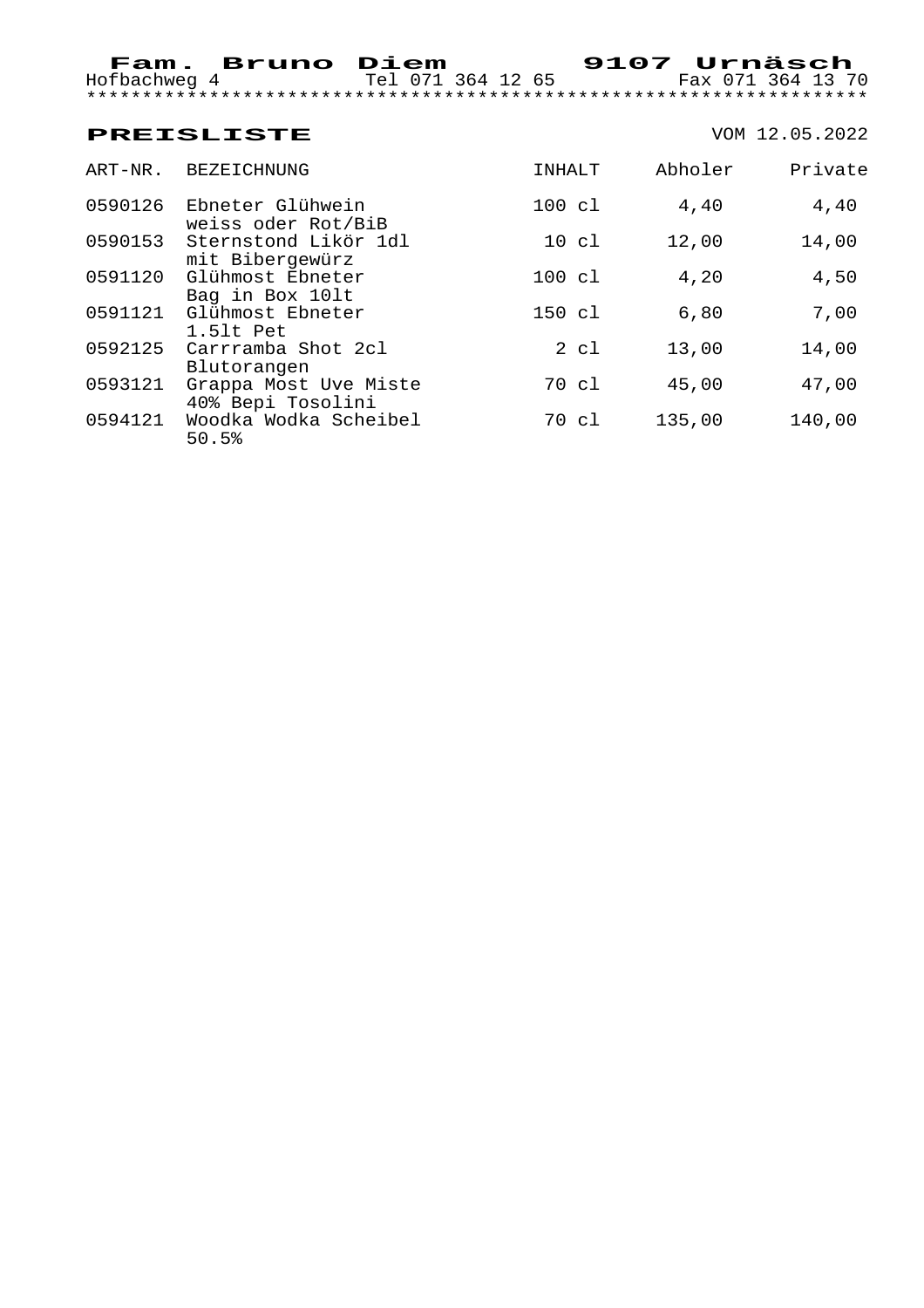### **PREISLISTE** VOM 12.05.2022 ART-NR. BEZEICHNUNG **INHALT** Abholer Private 0590126 Ebneter Glühwein 100 cl 4,40 4,40 weiss oder Rot/BiB 0590153 Sternstond Likör 1dl 10 cl 12,00 14,00 mit Bibergewürz 0591120 Glühmost Ebneter 100 cl 4,20 4,50 Bag in Box 10lt 0591121 Glühmost Ebneter 150 cl 6,80 7,00 1.5lt Pet 0592125 Carrramba Shot 2cl 2 cl 13,00 14,00 Blutorangen 0593121 Grappa Most Uve Miste 70 cl 45,00 47,00 40% Bepi Tosolini 0594121 Woodka Wodka Scheibel 70 cl 135,00 140,00

50.5%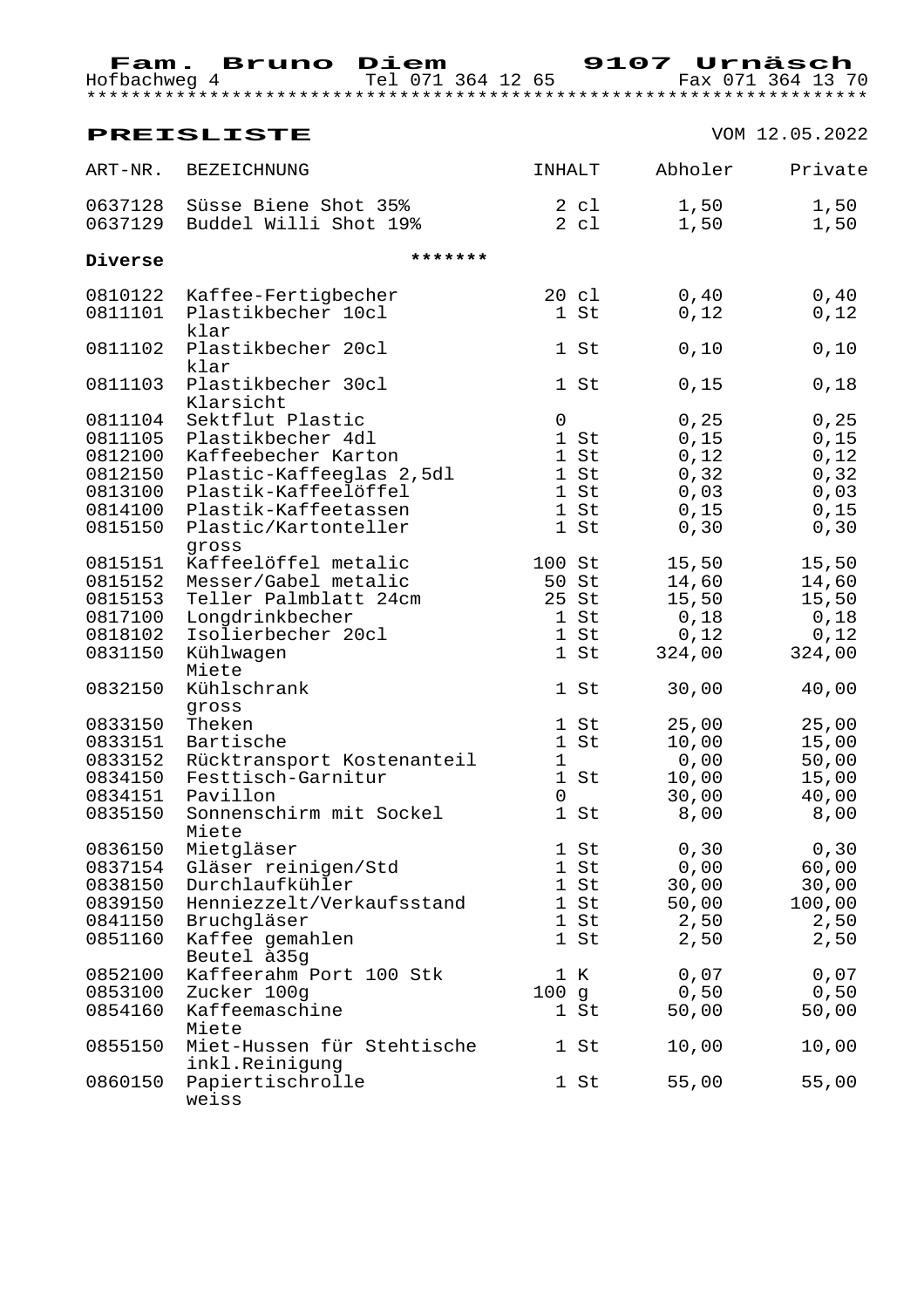| Hofbachweg 4                                                              | Fam. Bruno Diem<br>Tel 071 364 12 65                                                                                                                             |                                                              | 9107 Urnäsch                                                | Fax 071 364 13 70                                       |
|---------------------------------------------------------------------------|------------------------------------------------------------------------------------------------------------------------------------------------------------------|--------------------------------------------------------------|-------------------------------------------------------------|---------------------------------------------------------|
|                                                                           | <b>PREISLISTE</b>                                                                                                                                                |                                                              |                                                             | VOM 12.05.2022                                          |
| ART-NR.                                                                   | BEZEICHNUNG                                                                                                                                                      | INHALT                                                       | Abholer                                                     | Private                                                 |
| 0637128                                                                   | Süsse Biene Shot 35%<br>0637129 Buddel Willi Shot 19%                                                                                                            | $2 \text{ cl}$<br>$2 \text{ cl}$                             | 1,50<br>1,50                                                | 1,50<br>1,50                                            |
| Diverse                                                                   | *******                                                                                                                                                          |                                                              |                                                             |                                                         |
| 0810122<br>0811101                                                        | Kaffee-Fertigbecher<br>Plastikbecher 10cl<br>klar                                                                                                                | 20 cl<br>1 St                                                | 0,40<br>0,12                                                | 0,40<br>0,12                                            |
| 0811102                                                                   | Plastikbecher 20cl<br>klar                                                                                                                                       | 1 St                                                         | 0,10                                                        | 0,10                                                    |
| 0811103                                                                   | Plastikbecher 30cl<br>Klarsicht                                                                                                                                  | 1 St                                                         | 0,15                                                        | 0,18                                                    |
| 0811104<br>0811105<br>0812100<br>0812150<br>0813100<br>0814100<br>0815150 | Sektflut Plastic<br>Plastikbecher 4dl<br>Kaffeebecher Karton<br>Plastic-Kaffeeglas 2,5dl<br>Plastik-Kaffeelöffel<br>Plastik-Kaffeetassen<br>Plastic/Kartonteller | $\mathsf{O}$<br>1 St<br>1 St<br>1 St<br>1 St<br>1 St<br>1 St | 0, 25<br>0,15<br>0,12<br>0, 32<br>0,03<br>0,15<br>0, 30     | 0, 25<br>0,15<br>0,12<br>0, 32<br>0,03<br>0,15<br>0, 30 |
| 0815151<br>0815152<br>0815153<br>0817100<br>0818102<br>0831150            | gross<br>Kaffeelöffel metalic<br>Messer/Gabel metalic<br>Teller Palmblatt 24cm<br>Longdrinkbecher<br>Isolierbecher 20cl<br>Kühlwagen                             | 100 St<br>50 St<br>25 St<br>1 St<br>1 St<br>1 St             | 15,50<br>14,60<br>15,50<br>0,18<br>0,12<br>324,00           | 15,50<br>14,60<br>15,50<br>0,18<br>0,12<br>324,00       |
| 0832150                                                                   | Miete<br>Kühlschrank<br>gross                                                                                                                                    | 1 St                                                         | 30,00                                                       | 40,00                                                   |
| 0833150<br>0833151<br>0833152<br>0834150<br>0834151<br>0835150            | Theken<br>Bartische<br>Rücktransport Kostenanteil<br>Festtisch-Garnitur<br>Pavillon<br>Sonnenschirm mit Sockel<br>Miete                                          | 1 St<br>1 St<br>$\mathbf 1$<br>$0 \qquad \qquad$<br>1 St     | 25,00<br>10,00<br>0,00<br>1 St 10,00 15,00<br>30,00<br>8,00 | 25,00<br>15,00<br>50,00<br>40,00<br>8,00                |
| 0836150<br>0838150<br>0839150<br>0841150<br>0851160                       | Mietgläser<br>0837154 Gläser reinigen/Std<br>Durchlaufkühler<br>Henniezzelt/Verkaufsstand<br>Bruchgläser<br>Kaffee gemahlen                                      | 1 St<br>$1 \overline{st}$<br>1 St<br>$1$ St<br>1 St<br>1 St  | 0, 30<br>0,00<br>30,00<br>50,00<br>2,50<br>2,50             | 0, 30<br>60,00<br>30,00<br>100,00<br>2,50<br>2,50       |
| 0852100<br>0853100<br>0854160                                             | Beutel à 35g<br>Kaffeerahm Port 100 Stk<br>Zucker 100g<br>Kaffeemaschine                                                                                         | 1 K<br>100g<br>1 St                                          | 0,07<br>0,50<br>50,00                                       | 0,07<br>0,50<br>50,00                                   |
| 0855150                                                                   | Miete<br>Miet-Hussen für Stehtische                                                                                                                              | $1$ St                                                       | 10,00                                                       | 10,00                                                   |
| 0860150                                                                   | inkl.Reinigung<br>Papiertischrolle<br>weiss                                                                                                                      | 1 St                                                         | 55,00                                                       | 55,00                                                   |